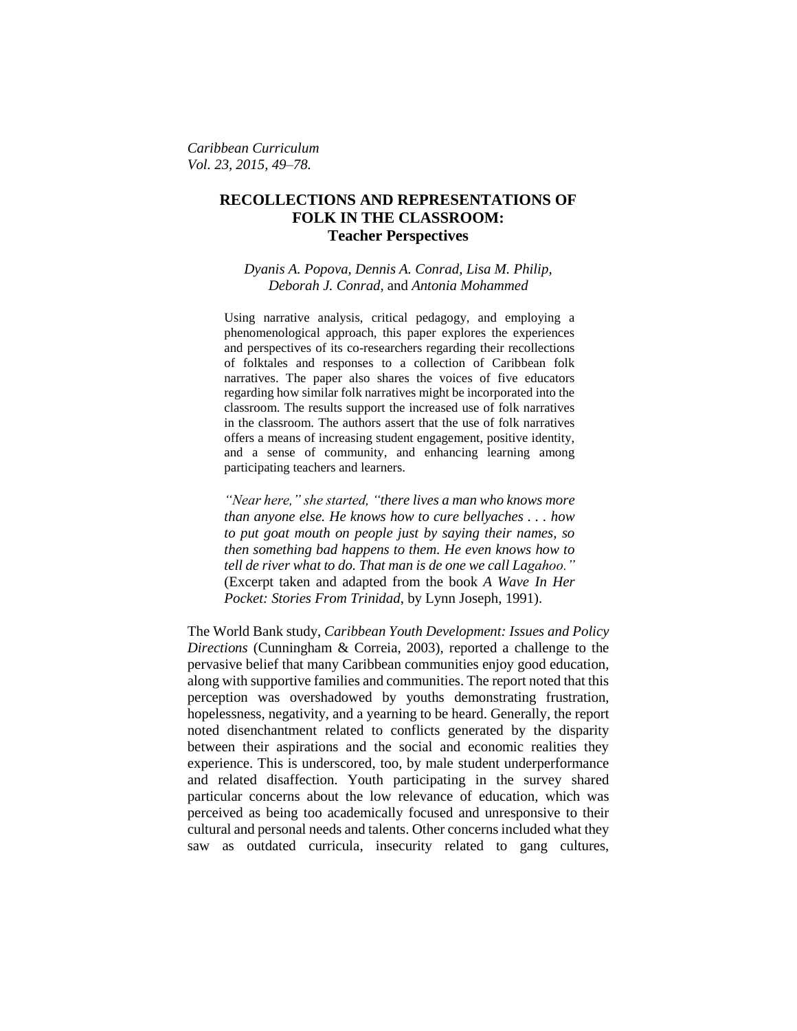*Caribbean Curriculum Vol. 23, 2015, 49–78.*

# **RECOLLECTIONS AND REPRESENTATIONS OF FOLK IN THE CLASSROOM: Teacher Perspectives**

*Dyanis A. Popova, Dennis A. Conrad, Lisa M. Philip, Deborah J. Conrad,* and *Antonia Mohammed*

Using narrative analysis, critical pedagogy, and employing a phenomenological approach, this paper explores the experiences and perspectives of its co-researchers regarding their recollections of folktales and responses to a collection of Caribbean folk narratives. The paper also shares the voices of five educators regarding how similar folk narratives might be incorporated into the classroom. The results support the increased use of folk narratives in the classroom. The authors assert that the use of folk narratives offers a means of increasing student engagement, positive identity, and a sense of community, and enhancing learning among participating teachers and learners.

*"Near here," she started, "there lives a man who knows more than anyone else. He knows how to cure bellyaches . . . how to put goat mouth on people just by saying their names, so then something bad happens to them. He even knows how to tell de river what to do. That man is de one we call Lagahoo."* (Excerpt taken and adapted from the book *A Wave In Her Pocket: Stories From Trinidad*, by Lynn Joseph, 1991).

The World Bank study, *Caribbean Youth Development: Issues and Policy Directions* (Cunningham & Correia, 2003), reported a challenge to the pervasive belief that many Caribbean communities enjoy good education, along with supportive families and communities. The report noted that this perception was overshadowed by youths demonstrating frustration, hopelessness, negativity, and a yearning to be heard. Generally, the report noted disenchantment related to conflicts generated by the disparity between their aspirations and the social and economic realities they experience. This is underscored, too, by male student underperformance and related disaffection. Youth participating in the survey shared particular concerns about the low relevance of education, which was perceived as being too academically focused and unresponsive to their cultural and personal needs and talents. Other concerns included what they saw as outdated curricula, insecurity related to gang cultures,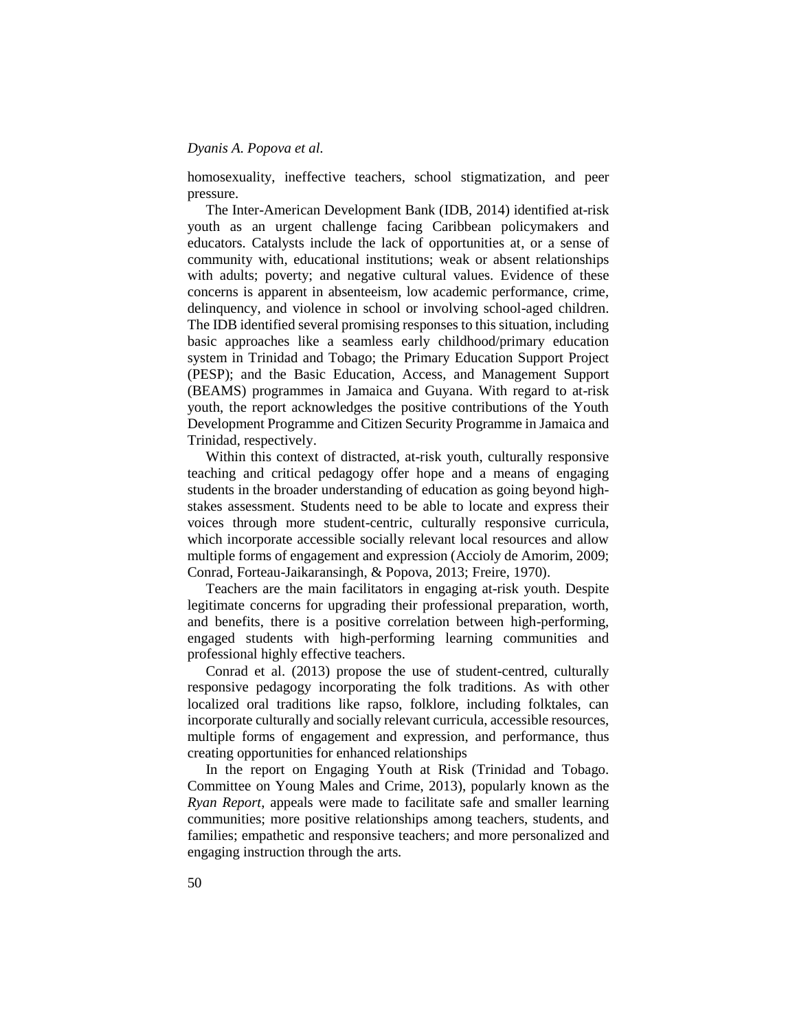homosexuality, ineffective teachers, school stigmatization, and peer pressure.

The Inter-American Development Bank (IDB, 2014) identified at-risk youth as an urgent challenge facing Caribbean policymakers and educators. Catalysts include the lack of opportunities at, or a sense of community with, educational institutions; weak or absent relationships with adults; poverty; and negative cultural values. Evidence of these concerns is apparent in absenteeism, low academic performance, crime, delinquency, and violence in school or involving school-aged children. The IDB identified several promising responses to this situation, including basic approaches like a seamless early childhood/primary education system in Trinidad and Tobago; the Primary Education Support Project (PESP); and the Basic Education, Access, and Management Support (BEAMS) programmes in Jamaica and Guyana. With regard to at-risk youth, the report acknowledges the positive contributions of the Youth Development Programme and Citizen Security Programme in Jamaica and Trinidad, respectively.

Within this context of distracted, at-risk youth, culturally responsive teaching and critical pedagogy offer hope and a means of engaging students in the broader understanding of education as going beyond highstakes assessment. Students need to be able to locate and express their voices through more student-centric, culturally responsive curricula, which incorporate accessible socially relevant local resources and allow multiple forms of engagement and expression (Accioly de Amorim, 2009; Conrad, Forteau-Jaikaransingh, & Popova, 2013; Freire, 1970).

Teachers are the main facilitators in engaging at-risk youth. Despite legitimate concerns for upgrading their professional preparation, worth, and benefits, there is a positive correlation between high-performing, engaged students with high-performing learning communities and professional highly effective teachers.

Conrad et al. (2013) propose the use of student-centred, culturally responsive pedagogy incorporating the folk traditions. As with other localized oral traditions like rapso, folklore, including folktales, can incorporate culturally and socially relevant curricula, accessible resources, multiple forms of engagement and expression, and performance, thus creating opportunities for enhanced relationships

In the report on Engaging Youth at Risk (Trinidad and Tobago. Committee on Young Males and Crime, 2013), popularly known as the *Ryan Report*, appeals were made to facilitate safe and smaller learning communities; more positive relationships among teachers, students, and families; empathetic and responsive teachers; and more personalized and engaging instruction through the arts*.*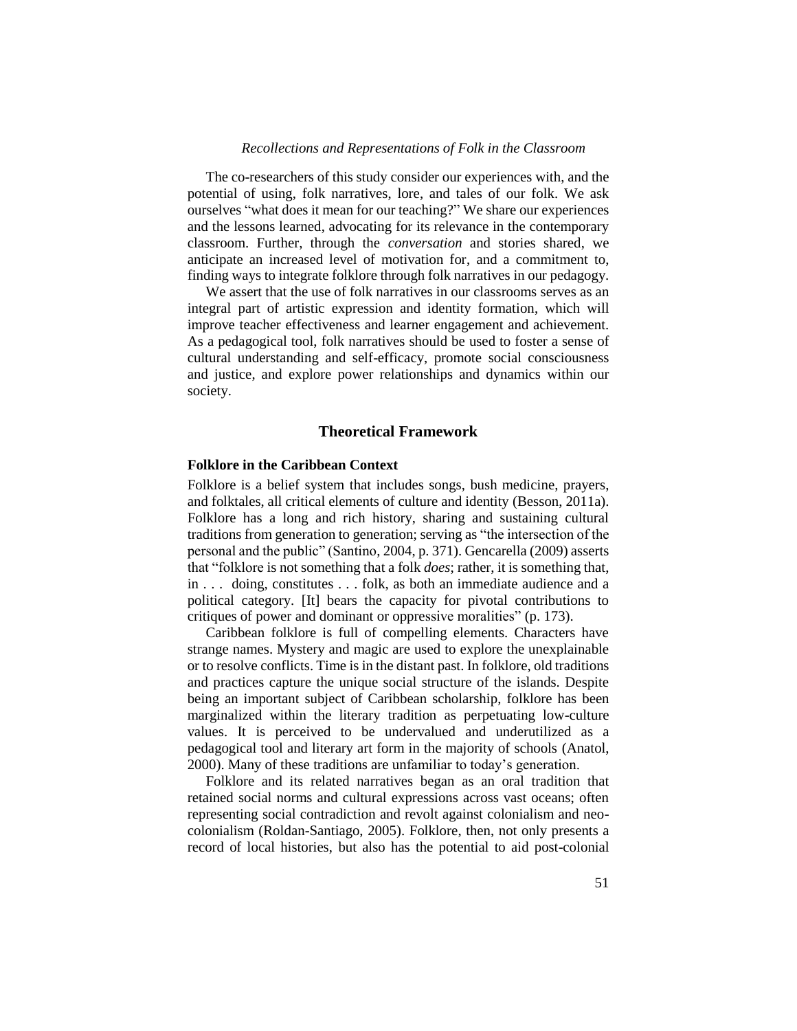The co-researchers of this study consider our experiences with, and the potential of using, folk narratives, lore, and tales of our folk. We ask ourselves "what does it mean for our teaching?" We share our experiences and the lessons learned, advocating for its relevance in the contemporary classroom. Further, through the *conversation* and stories shared, we anticipate an increased level of motivation for, and a commitment to, finding ways to integrate folklore through folk narratives in our pedagogy.

We assert that the use of folk narratives in our classrooms serves as an integral part of artistic expression and identity formation, which will improve teacher effectiveness and learner engagement and achievement. As a pedagogical tool, folk narratives should be used to foster a sense of cultural understanding and self-efficacy, promote social consciousness and justice, and explore power relationships and dynamics within our society.

#### **Theoretical Framework**

# **Folklore in the Caribbean Context**

Folklore is a belief system that includes songs, bush medicine, prayers, and folktales, all critical elements of culture and identity (Besson, 2011a). Folklore has a long and rich history, sharing and sustaining cultural traditions from generation to generation; serving as "the intersection of the personal and the public" (Santino, 2004, p. 371). Gencarella (2009) asserts that "folklore is not something that a folk *does*; rather, it is something that, in . . . doing, constitutes . . . folk, as both an immediate audience and a political category. [It] bears the capacity for pivotal contributions to critiques of power and dominant or oppressive moralities" (p. 173).

Caribbean folklore is full of compelling elements. Characters have strange names. Mystery and magic are used to explore the unexplainable or to resolve conflicts. Time is in the distant past. In folklore, old traditions and practices capture the unique social structure of the islands. Despite being an important subject of Caribbean scholarship, folklore has been marginalized within the literary tradition as perpetuating low-culture values. It is perceived to be undervalued and underutilized as a pedagogical tool and literary art form in the majority of schools (Anatol, 2000). Many of these traditions are unfamiliar to today's generation.

Folklore and its related narratives began as an oral tradition that retained social norms and cultural expressions across vast oceans; often representing social contradiction and revolt against colonialism and neocolonialism (Roldan-Santiago, 2005). Folklore, then, not only presents a record of local histories, but also has the potential to aid post-colonial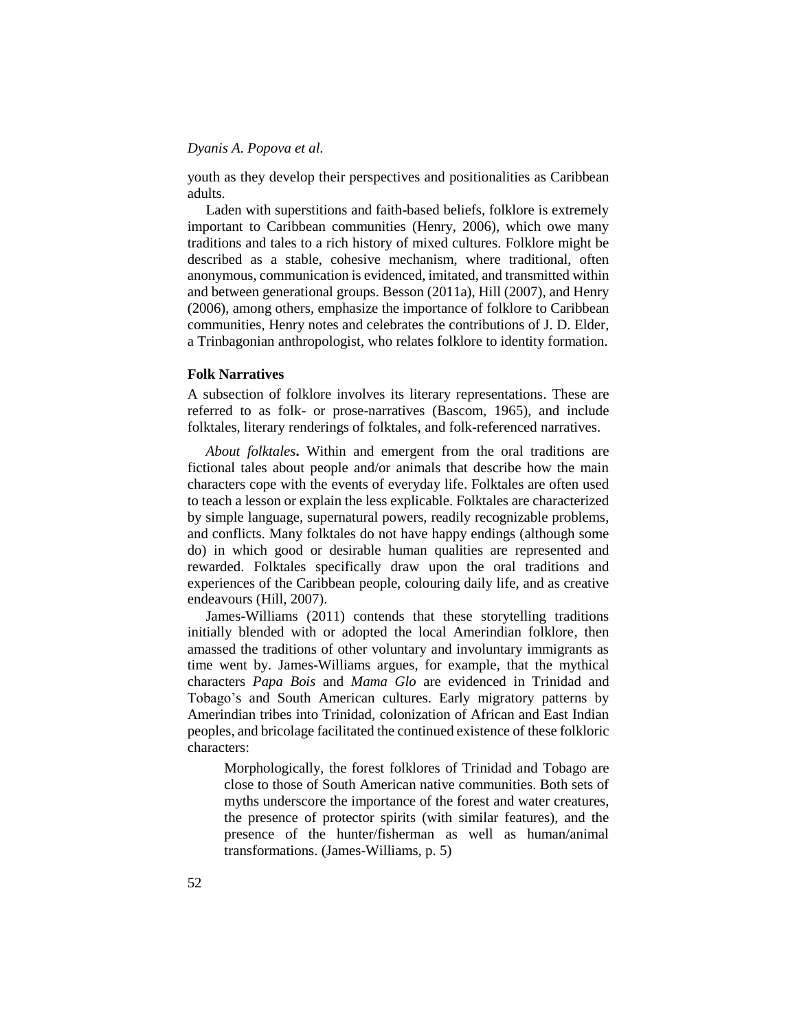youth as they develop their perspectives and positionalities as Caribbean adults.

Laden with superstitions and faith-based beliefs, folklore is extremely important to Caribbean communities (Henry, 2006), which owe many traditions and tales to a rich history of mixed cultures. Folklore might be described as a stable, cohesive mechanism, where traditional, often anonymous, communication is evidenced, imitated, and transmitted within and between generational groups. Besson (2011a), Hill (2007), and Henry (2006), among others, emphasize the importance of folklore to Caribbean communities, Henry notes and celebrates the contributions of J. D. Elder, a Trinbagonian anthropologist, who relates folklore to identity formation.

# **Folk Narratives**

A subsection of folklore involves its literary representations. These are referred to as folk- or prose-narratives (Bascom, 1965), and include folktales, literary renderings of folktales, and folk-referenced narratives.

*About folktales***.** Within and emergent from the oral traditions are fictional tales about people and/or animals that describe how the main characters cope with the events of everyday life. Folktales are often used to teach a lesson or explain the less explicable. Folktales are characterized by simple language, supernatural powers, readily recognizable problems, and conflicts. Many folktales do not have happy endings (although some do) in which good or desirable human qualities are represented and rewarded. Folktales specifically draw upon the oral traditions and experiences of the Caribbean people, colouring daily life, and as creative endeavours (Hill, 2007).

James-Williams (2011) contends that these storytelling traditions initially blended with or adopted the local Amerindian folklore, then amassed the traditions of other voluntary and involuntary immigrants as time went by. James-Williams argues, for example, that the mythical characters *Papa Bois* and *Mama Glo* are evidenced in Trinidad and Tobago's and South American cultures. Early migratory patterns by Amerindian tribes into Trinidad, colonization of African and East Indian peoples, and bricolage facilitated the continued existence of these folkloric characters:

Morphologically, the forest folklores of Trinidad and Tobago are close to those of South American native communities. Both sets of myths underscore the importance of the forest and water creatures, the presence of protector spirits (with similar features), and the presence of the hunter/fisherman as well as human/animal transformations. (James-Williams, p. 5)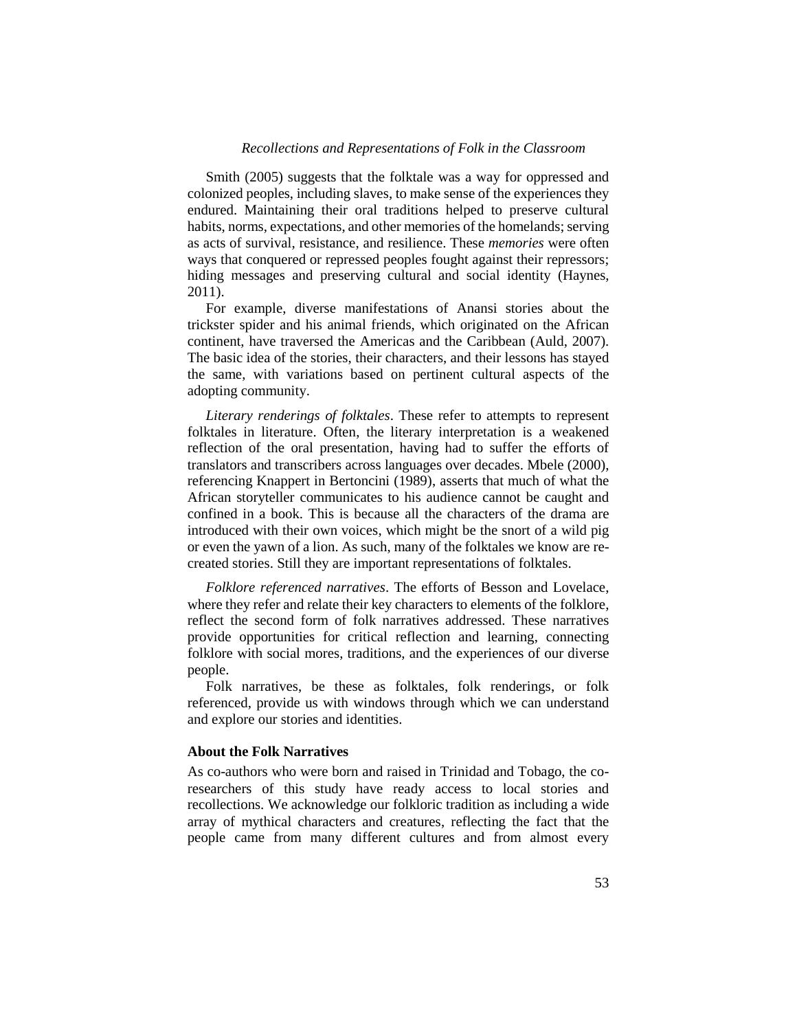Smith (2005) suggests that the folktale was a way for oppressed and colonized peoples, including slaves, to make sense of the experiences they endured. Maintaining their oral traditions helped to preserve cultural habits, norms, expectations, and other memories of the homelands; serving as acts of survival, resistance, and resilience. These *memories* were often ways that conquered or repressed peoples fought against their repressors; hiding messages and preserving cultural and social identity (Haynes, 2011).

For example, diverse manifestations of Anansi stories about the trickster spider and his animal friends, which originated on the African continent, have traversed the Americas and the Caribbean (Auld, 2007). The basic idea of the stories, their characters, and their lessons has stayed the same, with variations based on pertinent cultural aspects of the adopting community.

*Literary renderings of folktales*. These refer to attempts to represent folktales in literature. Often, the literary interpretation is a weakened reflection of the oral presentation, having had to suffer the efforts of translators and transcribers across languages over decades. Mbele (2000), referencing Knappert in Bertoncini (1989), asserts that much of what the African storyteller communicates to his audience cannot be caught and confined in a book. This is because all the characters of the drama are introduced with their own voices, which might be the snort of a wild pig or even the yawn of a lion. As such, many of the folktales we know are recreated stories. Still they are important representations of folktales.

*Folklore referenced narratives*. The efforts of Besson and Lovelace, where they refer and relate their key characters to elements of the folklore, reflect the second form of folk narratives addressed. These narratives provide opportunities for critical reflection and learning, connecting folklore with social mores, traditions, and the experiences of our diverse people.

Folk narratives, be these as folktales, folk renderings, or folk referenced, provide us with windows through which we can understand and explore our stories and identities.

#### **About the Folk Narratives**

As co-authors who were born and raised in Trinidad and Tobago, the coresearchers of this study have ready access to local stories and recollections. We acknowledge our folkloric tradition as including a wide array of mythical characters and creatures, reflecting the fact that the people came from many different cultures and from almost every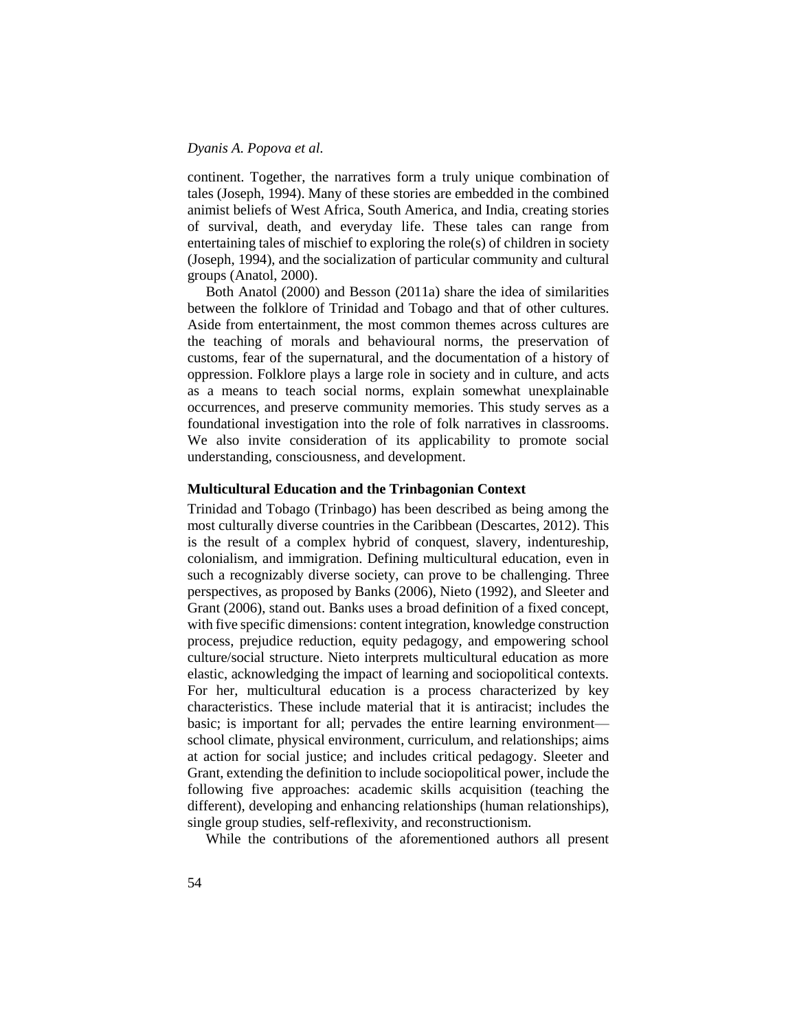continent. Together, the narratives form a truly unique combination of tales (Joseph, 1994). Many of these stories are embedded in the combined animist beliefs of West Africa, South America, and India, creating stories of survival, death, and everyday life. These tales can range from entertaining tales of mischief to exploring the role(s) of children in society (Joseph, 1994), and the socialization of particular community and cultural groups (Anatol, 2000).

Both Anatol (2000) and Besson (2011a) share the idea of similarities between the folklore of Trinidad and Tobago and that of other cultures. Aside from entertainment, the most common themes across cultures are the teaching of morals and behavioural norms, the preservation of customs, fear of the supernatural, and the documentation of a history of oppression. Folklore plays a large role in society and in culture, and acts as a means to teach social norms, explain somewhat unexplainable occurrences, and preserve community memories. This study serves as a foundational investigation into the role of folk narratives in classrooms. We also invite consideration of its applicability to promote social understanding, consciousness, and development.

#### **Multicultural Education and the Trinbagonian Context**

Trinidad and Tobago (Trinbago) has been described as being among the most culturally diverse countries in the Caribbean (Descartes, 2012). This is the result of a complex hybrid of conquest, slavery, indentureship, colonialism, and immigration. Defining multicultural education, even in such a recognizably diverse society, can prove to be challenging. Three perspectives, as proposed by Banks (2006), Nieto (1992), and Sleeter and Grant (2006), stand out. Banks uses a broad definition of a fixed concept, with five specific dimensions: content integration, knowledge construction process, prejudice reduction, equity pedagogy, and empowering school culture/social structure. Nieto interprets multicultural education as more elastic, acknowledging the impact of learning and sociopolitical contexts. For her, multicultural education is a process characterized by key characteristics. These include material that it is antiracist; includes the basic; is important for all; pervades the entire learning environment school climate, physical environment, curriculum, and relationships; aims at action for social justice; and includes critical pedagogy. Sleeter and Grant, extending the definition to include sociopolitical power, include the following five approaches: academic skills acquisition (teaching the different), developing and enhancing relationships (human relationships), single group studies, self-reflexivity, and reconstructionism.

While the contributions of the aforementioned authors all present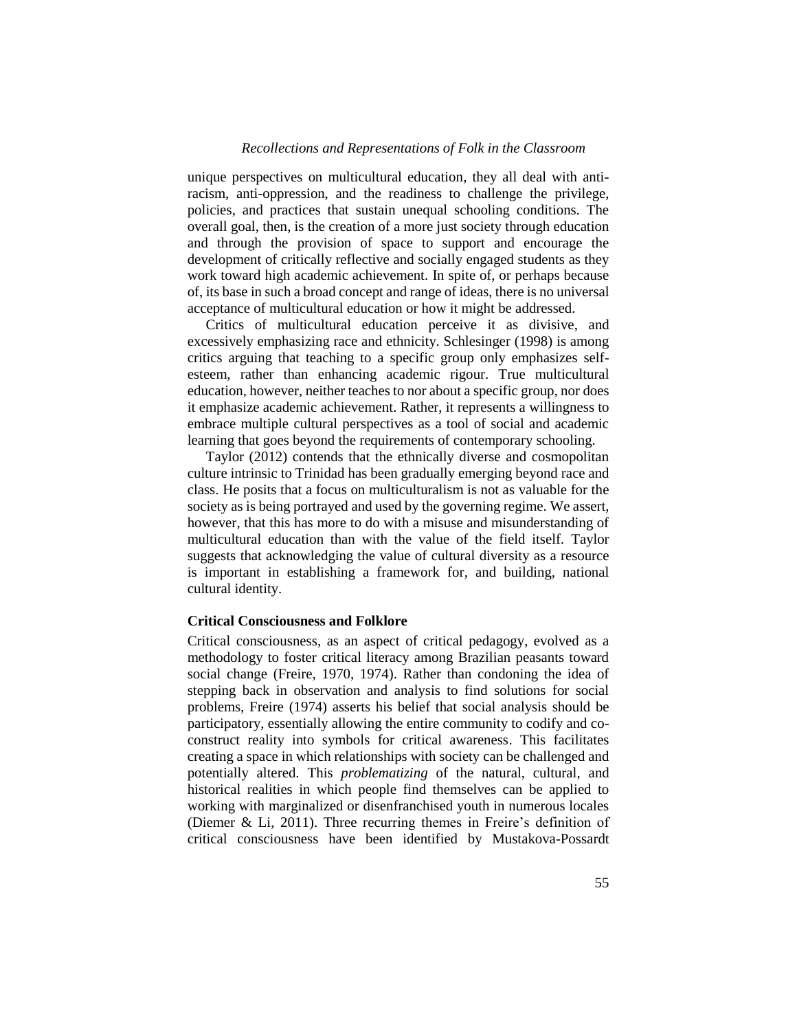unique perspectives on multicultural education, they all deal with antiracism, anti-oppression, and the readiness to challenge the privilege, policies, and practices that sustain unequal schooling conditions. The overall goal, then, is the creation of a more just society through education and through the provision of space to support and encourage the development of critically reflective and socially engaged students as they work toward high academic achievement. In spite of, or perhaps because of, its base in such a broad concept and range of ideas, there is no universal acceptance of multicultural education or how it might be addressed.

Critics of multicultural education perceive it as divisive, and excessively emphasizing race and ethnicity. Schlesinger (1998) is among critics arguing that teaching to a specific group only emphasizes selfesteem, rather than enhancing academic rigour. True multicultural education, however, neither teaches to nor about a specific group, nor does it emphasize academic achievement. Rather, it represents a willingness to embrace multiple cultural perspectives as a tool of social and academic learning that goes beyond the requirements of contemporary schooling.

Taylor (2012) contends that the ethnically diverse and cosmopolitan culture intrinsic to Trinidad has been gradually emerging beyond race and class. He posits that a focus on multiculturalism is not as valuable for the society as is being portrayed and used by the governing regime. We assert, however, that this has more to do with a misuse and misunderstanding of multicultural education than with the value of the field itself. Taylor suggests that acknowledging the value of cultural diversity as a resource is important in establishing a framework for, and building, national cultural identity.

#### **Critical Consciousness and Folklore**

Critical consciousness, as an aspect of critical pedagogy, evolved as a methodology to foster critical literacy among Brazilian peasants toward social change (Freire, 1970, 1974). Rather than condoning the idea of stepping back in observation and analysis to find solutions for social problems, Freire (1974) asserts his belief that social analysis should be participatory, essentially allowing the entire community to codify and coconstruct reality into symbols for critical awareness. This facilitates creating a space in which relationships with society can be challenged and potentially altered. This *problematizing* of the natural, cultural, and historical realities in which people find themselves can be applied to working with marginalized or disenfranchised youth in numerous locales (Diemer & Li, 2011). Three recurring themes in Freire's definition of critical consciousness have been identified by Mustakova-Possardt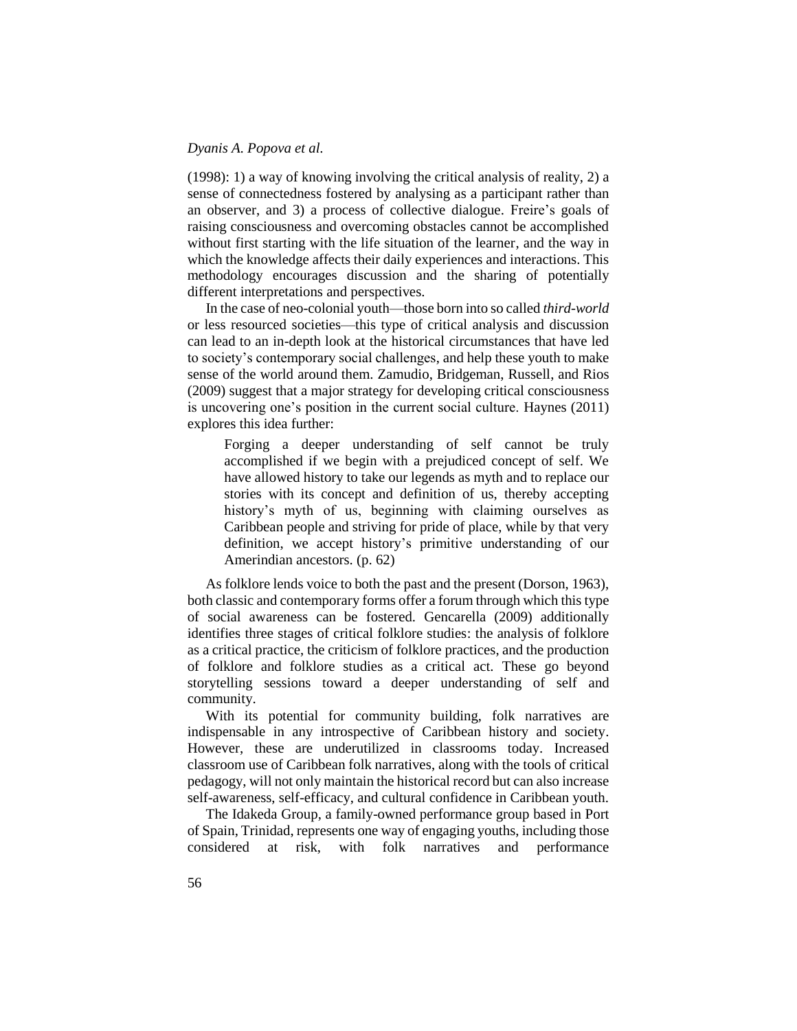(1998): 1) a way of knowing involving the critical analysis of reality, 2) a sense of connectedness fostered by analysing as a participant rather than an observer, and 3) a process of collective dialogue. Freire's goals of raising consciousness and overcoming obstacles cannot be accomplished without first starting with the life situation of the learner, and the way in which the knowledge affects their daily experiences and interactions. This methodology encourages discussion and the sharing of potentially different interpretations and perspectives.

In the case of neo-colonial youth—those born into so called *third-world* or less resourced societies—this type of critical analysis and discussion can lead to an in-depth look at the historical circumstances that have led to society's contemporary social challenges, and help these youth to make sense of the world around them. Zamudio, Bridgeman, Russell, and Rios (2009) suggest that a major strategy for developing critical consciousness is uncovering one's position in the current social culture. Haynes (2011) explores this idea further:

Forging a deeper understanding of self cannot be truly accomplished if we begin with a prejudiced concept of self. We have allowed history to take our legends as myth and to replace our stories with its concept and definition of us, thereby accepting history's myth of us, beginning with claiming ourselves as Caribbean people and striving for pride of place, while by that very definition, we accept history's primitive understanding of our Amerindian ancestors. (p. 62)

As folklore lends voice to both the past and the present (Dorson, 1963), both classic and contemporary forms offer a forum through which this type of social awareness can be fostered. Gencarella (2009) additionally identifies three stages of critical folklore studies: the analysis of folklore as a critical practice, the criticism of folklore practices, and the production of folklore and folklore studies as a critical act. These go beyond storytelling sessions toward a deeper understanding of self and community.

With its potential for community building, folk narratives are indispensable in any introspective of Caribbean history and society. However, these are underutilized in classrooms today. Increased classroom use of Caribbean folk narratives, along with the tools of critical pedagogy, will not only maintain the historical record but can also increase self-awareness, self-efficacy, and cultural confidence in Caribbean youth.

The Idakeda Group, a family-owned performance group based in Port of Spain, Trinidad, represents one way of engaging youths, including those considered at risk, with folk narratives and performance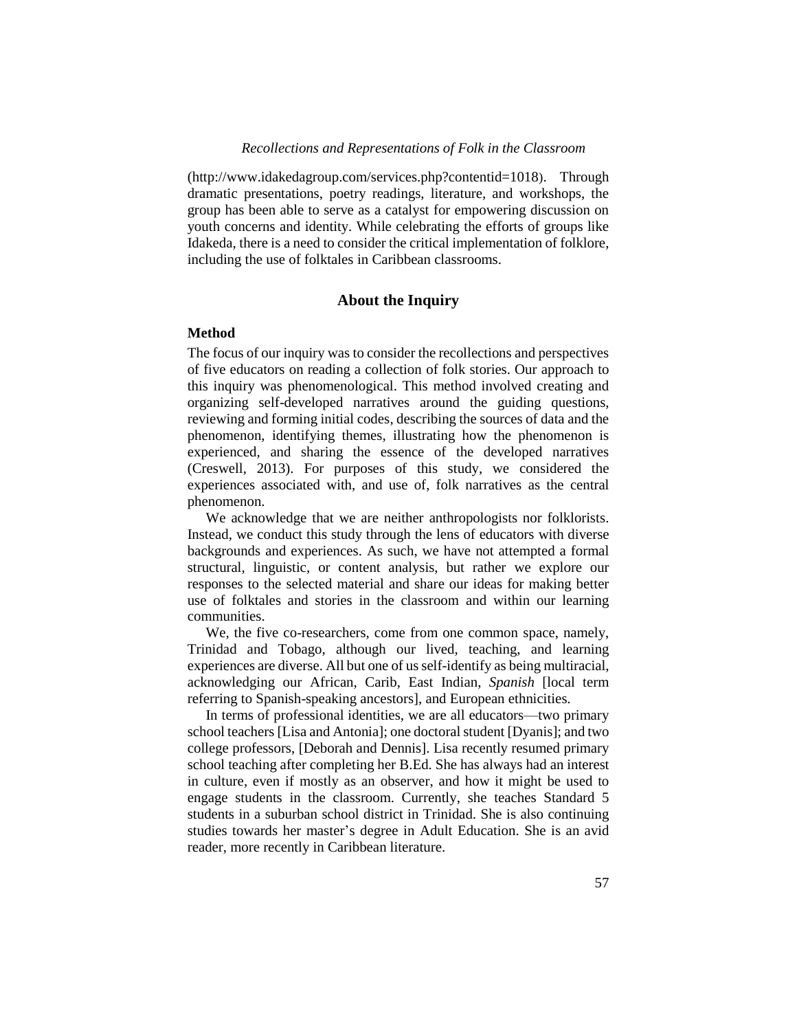(http://www.idakedagroup.com/services.php?contentid=1018). Through dramatic presentations, poetry readings, literature, and workshops, the group has been able to serve as a catalyst for empowering discussion on youth concerns and identity. While celebrating the efforts of groups like Idakeda, there is a need to consider the critical implementation of folklore, including the use of folktales in Caribbean classrooms.

# **About the Inquiry**

#### **Method**

The focus of our inquiry was to consider the recollections and perspectives of five educators on reading a collection of folk stories. Our approach to this inquiry was phenomenological. This method involved creating and organizing self-developed narratives around the guiding questions, reviewing and forming initial codes, describing the sources of data and the phenomenon, identifying themes, illustrating how the phenomenon is experienced, and sharing the essence of the developed narratives (Creswell, 2013). For purposes of this study, we considered the experiences associated with, and use of, folk narratives as the central phenomenon.

We acknowledge that we are neither anthropologists nor folklorists. Instead, we conduct this study through the lens of educators with diverse backgrounds and experiences. As such, we have not attempted a formal structural, linguistic, or content analysis, but rather we explore our responses to the selected material and share our ideas for making better use of folktales and stories in the classroom and within our learning communities.

We, the five co-researchers, come from one common space, namely, Trinidad and Tobago, although our lived, teaching, and learning experiences are diverse. All but one of us self-identify as being multiracial, acknowledging our African, Carib, East Indian, *Spanish* [local term referring to Spanish-speaking ancestors], and European ethnicities.

In terms of professional identities, we are all educators—two primary school teachers [Lisa and Antonia]; one doctoral student [Dyanis]; and two college professors, [Deborah and Dennis]. Lisa recently resumed primary school teaching after completing her B.Ed. She has always had an interest in culture, even if mostly as an observer, and how it might be used to engage students in the classroom. Currently, she teaches Standard 5 students in a suburban school district in Trinidad. She is also continuing studies towards her master's degree in Adult Education. She is an avid reader, more recently in Caribbean literature.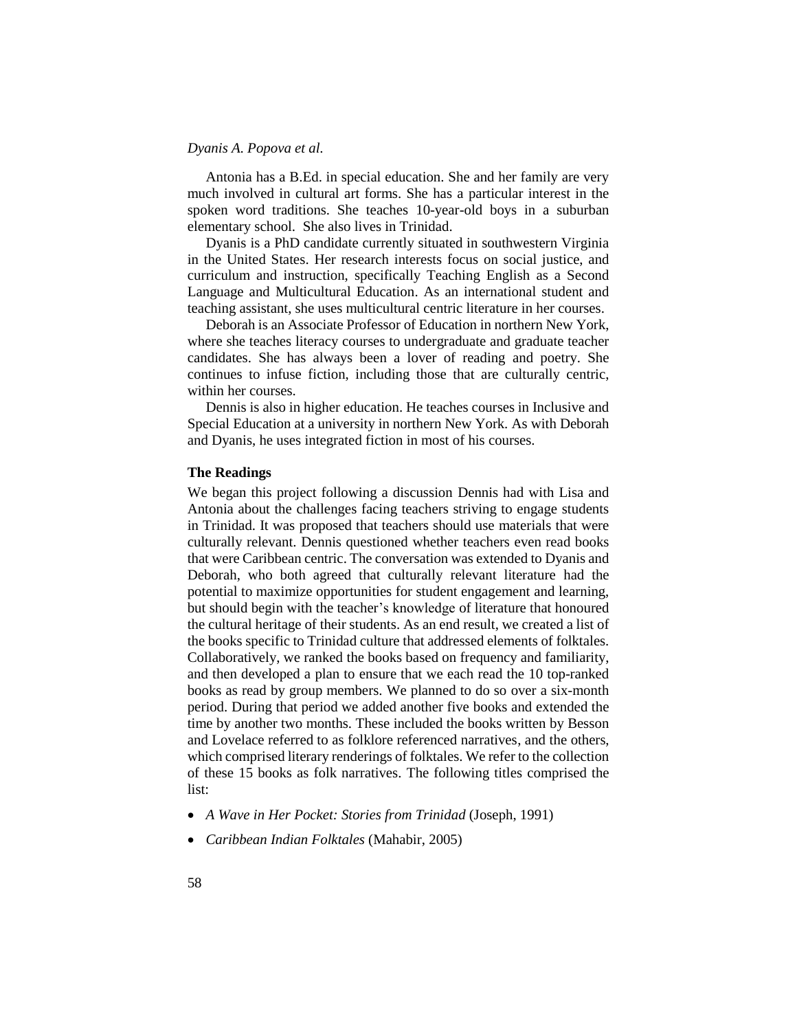Antonia has a B.Ed. in special education. She and her family are very much involved in cultural art forms. She has a particular interest in the spoken word traditions. She teaches 10-year-old boys in a suburban elementary school. She also lives in Trinidad.

Dyanis is a PhD candidate currently situated in southwestern Virginia in the United States. Her research interests focus on social justice, and curriculum and instruction, specifically Teaching English as a Second Language and Multicultural Education. As an international student and teaching assistant, she uses multicultural centric literature in her courses.

Deborah is an Associate Professor of Education in northern New York, where she teaches literacy courses to undergraduate and graduate teacher candidates. She has always been a lover of reading and poetry. She continues to infuse fiction, including those that are culturally centric, within her courses.

Dennis is also in higher education. He teaches courses in Inclusive and Special Education at a university in northern New York. As with Deborah and Dyanis, he uses integrated fiction in most of his courses.

#### **The Readings**

We began this project following a discussion Dennis had with Lisa and Antonia about the challenges facing teachers striving to engage students in Trinidad. It was proposed that teachers should use materials that were culturally relevant. Dennis questioned whether teachers even read books that were Caribbean centric. The conversation was extended to Dyanis and Deborah, who both agreed that culturally relevant literature had the potential to maximize opportunities for student engagement and learning, but should begin with the teacher's knowledge of literature that honoured the cultural heritage of their students. As an end result, we created a list of the books specific to Trinidad culture that addressed elements of folktales. Collaboratively, we ranked the books based on frequency and familiarity, and then developed a plan to ensure that we each read the 10 top-ranked books as read by group members. We planned to do so over a six-month period. During that period we added another five books and extended the time by another two months. These included the books written by Besson and Lovelace referred to as folklore referenced narratives, and the others, which comprised literary renderings of folktales. We refer to the collection of these 15 books as folk narratives. The following titles comprised the list:

- *A Wave in Her Pocket: Stories from Trinidad* (Joseph, 1991)
- *Caribbean Indian Folktales* (Mahabir, 2005)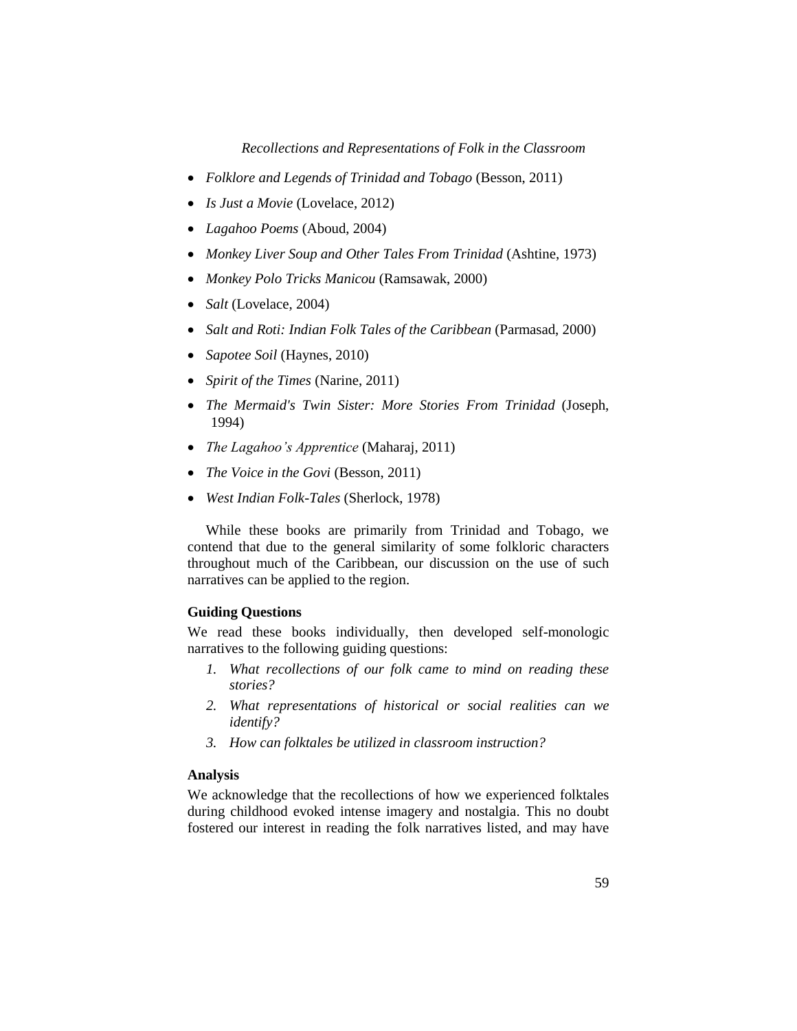- *Folklore and Legends of Trinidad and Tobago* (Besson, 2011)
- *Is Just a Movie* (Lovelace, 2012)
- *Lagahoo Poems* (Aboud, 2004)
- *Monkey Liver Soup and Other Tales From Trinidad* (Ashtine, 1973)
- *Monkey Polo Tricks Manicou* (Ramsawak, 2000)
- *Salt* (Lovelace, 2004)
- *Salt and Roti: Indian Folk Tales of the Caribbean* (Parmasad, 2000)
- *Sapotee Soil* (Haynes, 2010)
- *Spirit of the Times* (Narine, 2011)
- *The Mermaid's Twin Sister: More Stories From Trinidad* (Joseph, 1994)
- *The Lagahoo's Apprentice* (Maharaj, 2011)
- *The Voice in the Govi* (Besson, 2011)
- *West Indian Folk-Tales* (Sherlock, 1978)

While these books are primarily from Trinidad and Tobago, we contend that due to the general similarity of some folkloric characters throughout much of the Caribbean, our discussion on the use of such narratives can be applied to the region.

# **Guiding Questions**

We read these books individually, then developed self-monologic narratives to the following guiding questions:

- *1. What recollections of our folk came to mind on reading these stories?*
- *2. What representations of historical or social realities can we identify?*
- *3. How can folktales be utilized in classroom instruction?*

# **Analysis**

We acknowledge that the recollections of how we experienced folktales during childhood evoked intense imagery and nostalgia. This no doubt fostered our interest in reading the folk narratives listed, and may have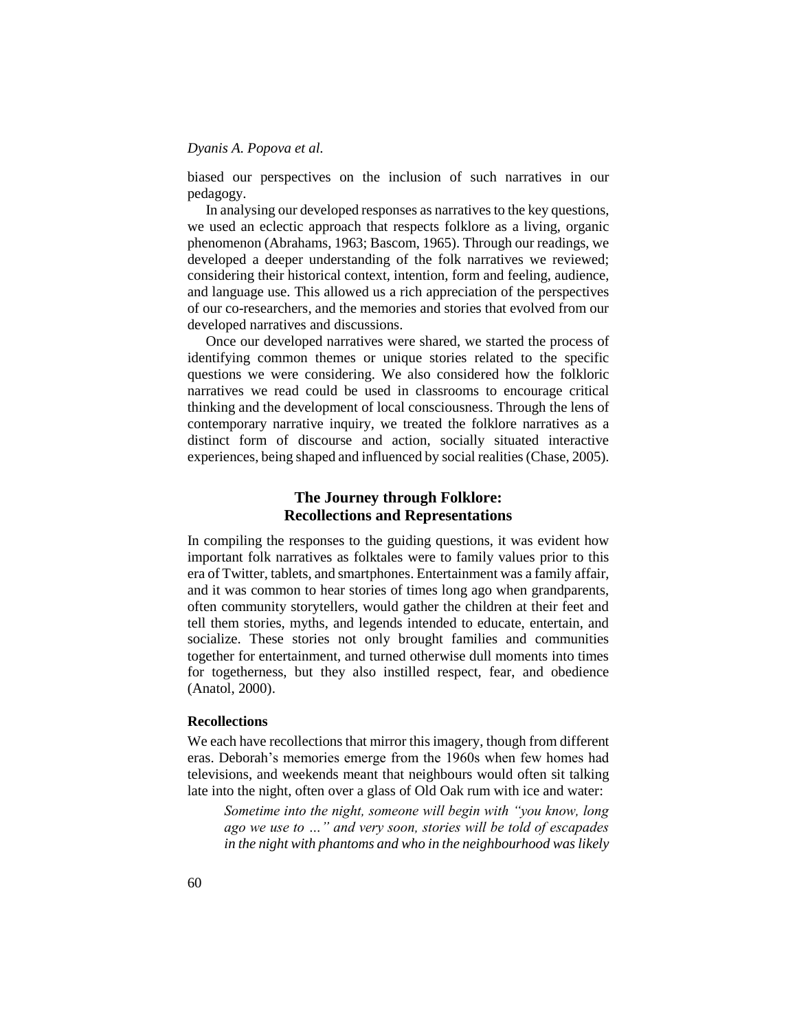biased our perspectives on the inclusion of such narratives in our pedagogy.

In analysing our developed responses as narratives to the key questions, we used an eclectic approach that respects folklore as a living, organic phenomenon (Abrahams, 1963; Bascom, 1965). Through our readings, we developed a deeper understanding of the folk narratives we reviewed; considering their historical context, intention, form and feeling, audience, and language use. This allowed us a rich appreciation of the perspectives of our co-researchers, and the memories and stories that evolved from our developed narratives and discussions.

Once our developed narratives were shared, we started the process of identifying common themes or unique stories related to the specific questions we were considering. We also considered how the folkloric narratives we read could be used in classrooms to encourage critical thinking and the development of local consciousness. Through the lens of contemporary narrative inquiry, we treated the folklore narratives as a distinct form of discourse and action, socially situated interactive experiences, being shaped and influenced by social realities (Chase, 2005).

# **The Journey through Folklore: Recollections and Representations**

In compiling the responses to the guiding questions, it was evident how important folk narratives as folktales were to family values prior to this era of Twitter, tablets, and smartphones. Entertainment was a family affair, and it was common to hear stories of times long ago when grandparents, often community storytellers, would gather the children at their feet and tell them stories, myths, and legends intended to educate, entertain, and socialize. These stories not only brought families and communities together for entertainment, and turned otherwise dull moments into times for togetherness, but they also instilled respect, fear, and obedience (Anatol, 2000).

#### **Recollections**

We each have recollections that mirror this imagery, though from different eras. Deborah's memories emerge from the 1960s when few homes had televisions, and weekends meant that neighbours would often sit talking late into the night, often over a glass of Old Oak rum with ice and water:

*Sometime into the night, someone will begin with "you know, long ago we use to …" and very soon, stories will be told of escapades in the night with phantoms and who in the neighbourhood was likely*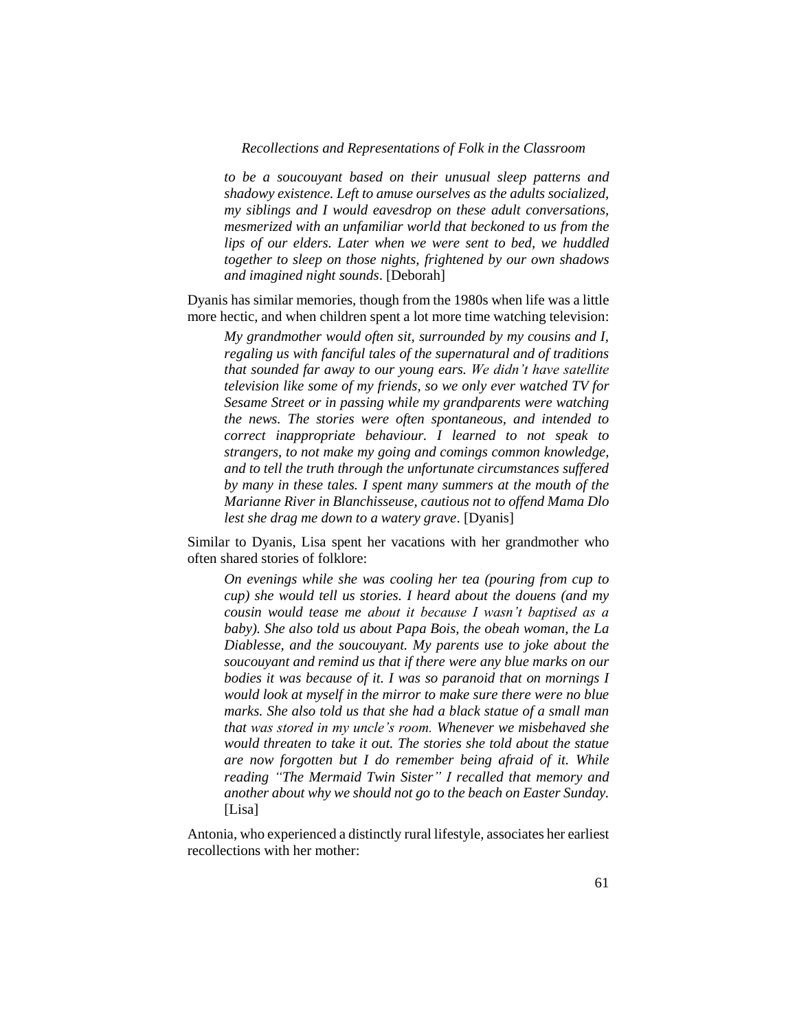*to be a soucouyant based on their unusual sleep patterns and shadowy existence. Left to amuse ourselves as the adults socialized, my siblings and I would eavesdrop on these adult conversations, mesmerized with an unfamiliar world that beckoned to us from the lips of our elders. Later when we were sent to bed, we huddled together to sleep on those nights, frightened by our own shadows and imagined night sounds*. [Deborah]

Dyanis has similar memories, though from the 1980s when life was a little more hectic, and when children spent a lot more time watching television:

*My grandmother would often sit, surrounded by my cousins and I, regaling us with fanciful tales of the supernatural and of traditions that sounded far away to our young ears. We didn't have satellite television like some of my friends, so we only ever watched TV for Sesame Street or in passing while my grandparents were watching the news. The stories were often spontaneous, and intended to correct inappropriate behaviour. I learned to not speak to strangers, to not make my going and comings common knowledge, and to tell the truth through the unfortunate circumstances suffered by many in these tales. I spent many summers at the mouth of the Marianne River in Blanchisseuse, cautious not to offend Mama Dlo lest she drag me down to a watery grave*. [Dyanis]

Similar to Dyanis, Lisa spent her vacations with her grandmother who often shared stories of folklore:

*On evenings while she was cooling her tea (pouring from cup to cup) she would tell us stories. I heard about the douens (and my cousin would tease me about it because I wasn't baptised as a baby). She also told us about Papa Bois, the obeah woman, the La Diablesse, and the soucouyant. My parents use to joke about the soucouyant and remind us that if there were any blue marks on our bodies it was because of it. I was so paranoid that on mornings I would look at myself in the mirror to make sure there were no blue marks. She also told us that she had a black statue of a small man that was stored in my uncle's room. Whenever we misbehaved she would threaten to take it out. The stories she told about the statue are now forgotten but I do remember being afraid of it. While reading "The Mermaid Twin Sister" I recalled that memory and another about why we should not go to the beach on Easter Sunday.* [Lisa]

Antonia, who experienced a distinctly rural lifestyle, associates her earliest recollections with her mother: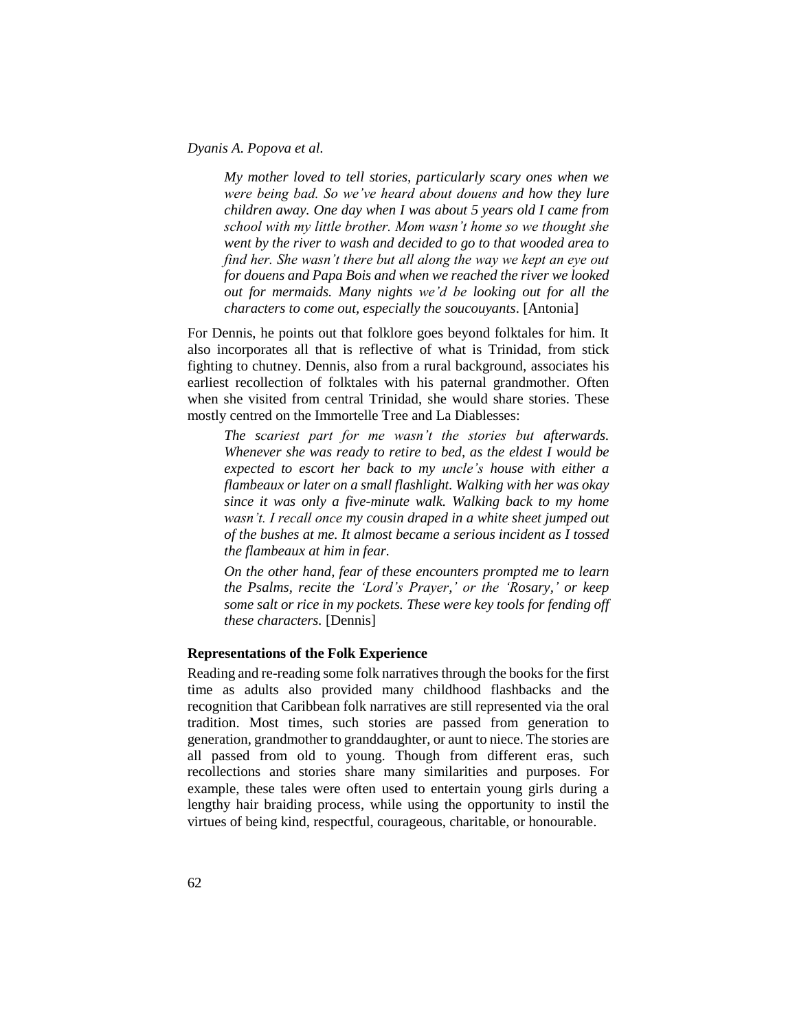*My mother loved to tell stories, particularly scary ones when we were being bad. So we've heard about douens and how they lure children away. One day when I was about 5 years old I came from school with my little brother. Mom wasn't home so we thought she went by the river to wash and decided to go to that wooded area to find her. She wasn't there but all along the way we kept an eye out for douens and Papa Bois and when we reached the river we looked out for mermaids. Many nights we'd be looking out for all the characters to come out, especially the soucouyants*. [Antonia]

For Dennis, he points out that folklore goes beyond folktales for him. It also incorporates all that is reflective of what is Trinidad, from stick fighting to chutney. Dennis, also from a rural background, associates his earliest recollection of folktales with his paternal grandmother. Often when she visited from central Trinidad, she would share stories. These mostly centred on the Immortelle Tree and La Diablesses:

*The scariest part for me wasn't the stories but afterwards. Whenever she was ready to retire to bed, as the eldest I would be expected to escort her back to my uncle's house with either a flambeaux or later on a small flashlight. Walking with her was okay since it was only a five-minute walk. Walking back to my home wasn't. I recall once my cousin draped in a white sheet jumped out of the bushes at me. It almost became a serious incident as I tossed the flambeaux at him in fear.* 

*On the other hand, fear of these encounters prompted me to learn the Psalms, recite the 'Lord's Prayer,' or the 'Rosary,' or keep some salt or rice in my pockets. These were key tools for fending off these characters.* [Dennis]

# **Representations of the Folk Experience**

Reading and re-reading some folk narratives through the books for the first time as adults also provided many childhood flashbacks and the recognition that Caribbean folk narratives are still represented via the oral tradition. Most times, such stories are passed from generation to generation, grandmother to granddaughter, or aunt to niece. The stories are all passed from old to young. Though from different eras, such recollections and stories share many similarities and purposes. For example, these tales were often used to entertain young girls during a lengthy hair braiding process, while using the opportunity to instil the virtues of being kind, respectful, courageous, charitable, or honourable.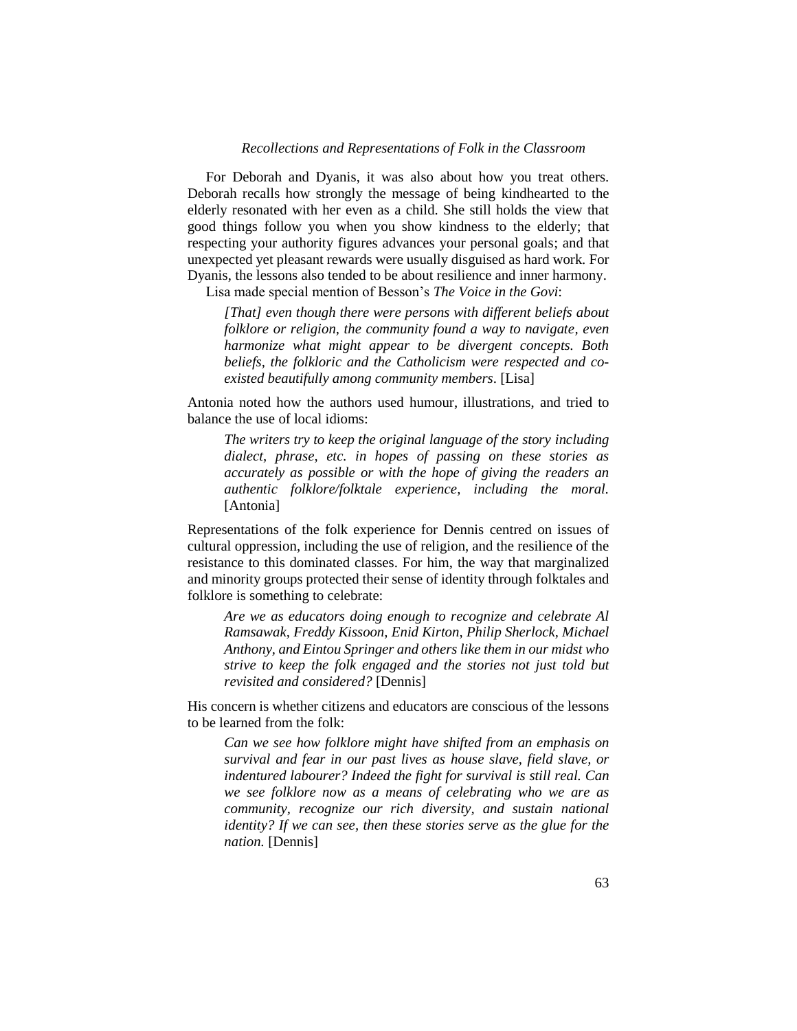For Deborah and Dyanis, it was also about how you treat others. Deborah recalls how strongly the message of being kindhearted to the elderly resonated with her even as a child. She still holds the view that good things follow you when you show kindness to the elderly; that respecting your authority figures advances your personal goals; and that unexpected yet pleasant rewards were usually disguised as hard work. For Dyanis, the lessons also tended to be about resilience and inner harmony.

Lisa made special mention of Besson's *The Voice in the Govi*:

*[That] even though there were persons with different beliefs about folklore or religion, the community found a way to navigate, even harmonize what might appear to be divergent concepts. Both beliefs, the folkloric and the Catholicism were respected and coexisted beautifully among community members*. [Lisa]

Antonia noted how the authors used humour, illustrations, and tried to balance the use of local idioms:

*The writers try to keep the original language of the story including dialect, phrase, etc. in hopes of passing on these stories as accurately as possible or with the hope of giving the readers an authentic folklore/folktale experience, including the moral.* [Antonia]

Representations of the folk experience for Dennis centred on issues of cultural oppression, including the use of religion, and the resilience of the resistance to this dominated classes. For him, the way that marginalized and minority groups protected their sense of identity through folktales and folklore is something to celebrate:

*Are we as educators doing enough to recognize and celebrate Al Ramsawak, Freddy Kissoon, Enid Kirton, Philip Sherlock, Michael Anthony, and Eintou Springer and others like them in our midst who strive to keep the folk engaged and the stories not just told but revisited and considered?* [Dennis]

His concern is whether citizens and educators are conscious of the lessons to be learned from the folk:

*Can we see how folklore might have shifted from an emphasis on survival and fear in our past lives as house slave, field slave, or indentured labourer? Indeed the fight for survival is still real. Can we see folklore now as a means of celebrating who we are as community, recognize our rich diversity, and sustain national identity? If we can see, then these stories serve as the glue for the nation.* [Dennis]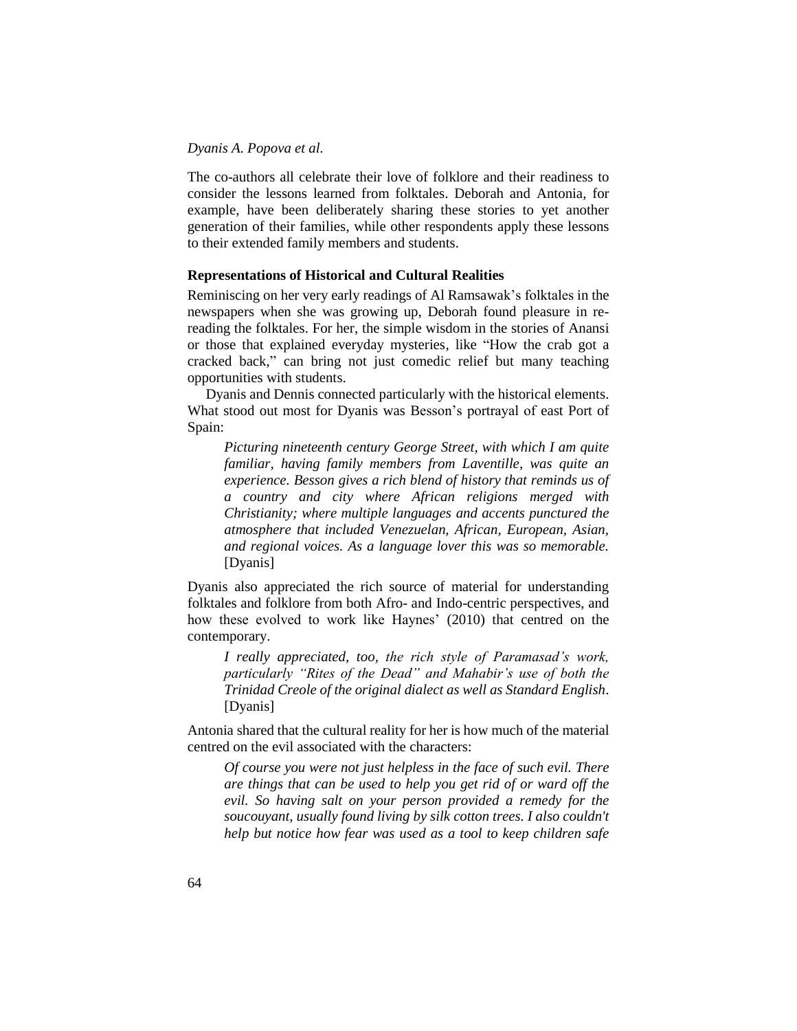The co-authors all celebrate their love of folklore and their readiness to consider the lessons learned from folktales. Deborah and Antonia, for example, have been deliberately sharing these stories to yet another generation of their families, while other respondents apply these lessons to their extended family members and students.

# **Representations of Historical and Cultural Realities**

Reminiscing on her very early readings of Al Ramsawak's folktales in the newspapers when she was growing up, Deborah found pleasure in rereading the folktales. For her, the simple wisdom in the stories of Anansi or those that explained everyday mysteries, like "How the crab got a cracked back," can bring not just comedic relief but many teaching opportunities with students.

Dyanis and Dennis connected particularly with the historical elements. What stood out most for Dyanis was Besson's portrayal of east Port of Spain:

*Picturing nineteenth century George Street, with which I am quite familiar, having family members from Laventille, was quite an experience. Besson gives a rich blend of history that reminds us of a country and city where African religions merged with Christianity; where multiple languages and accents punctured the atmosphere that included Venezuelan, African, European, Asian, and regional voices. As a language lover this was so memorable.* [Dyanis]

Dyanis also appreciated the rich source of material for understanding folktales and folklore from both Afro- and Indo-centric perspectives, and how these evolved to work like Haynes' (2010) that centred on the contemporary.

*I really appreciated, too, the rich style of Paramasad's work, particularly "Rites of the Dead" and Mahabir's use of both the Trinidad Creole of the original dialect as well as Standard English*. [Dyanis]

Antonia shared that the cultural reality for her is how much of the material centred on the evil associated with the characters:

*Of course you were not just helpless in the face of such evil. There are things that can be used to help you get rid of or ward off the evil. So having salt on your person provided a remedy for the soucouyant, usually found living by silk cotton trees. I also couldn't help but notice how fear was used as a tool to keep children safe*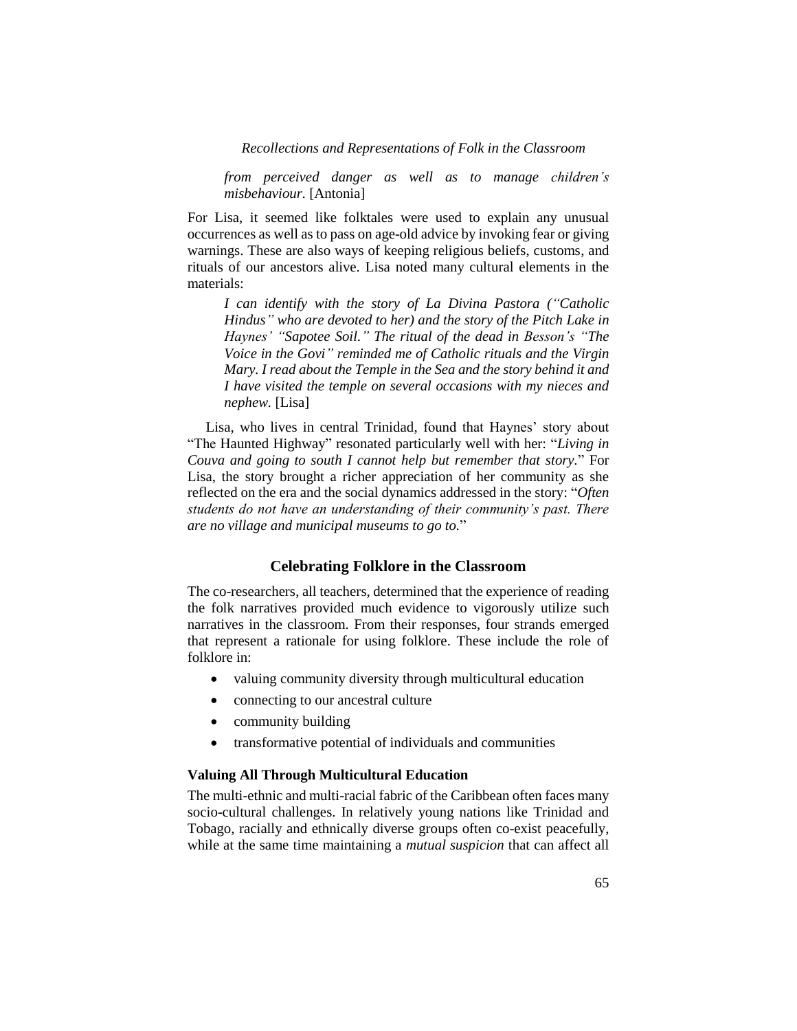*from perceived danger as well as to manage children's misbehaviour.* [Antonia]

For Lisa, it seemed like folktales were used to explain any unusual occurrences as well as to pass on age-old advice by invoking fear or giving warnings. These are also ways of keeping religious beliefs, customs, and rituals of our ancestors alive. Lisa noted many cultural elements in the materials:

*I can identify with the story of La Divina Pastora ("Catholic Hindus" who are devoted to her) and the story of the Pitch Lake in Haynes' "Sapotee Soil." The ritual of the dead in Besson's "The Voice in the Govi" reminded me of Catholic rituals and the Virgin Mary. I read about the Temple in the Sea and the story behind it and I have visited the temple on several occasions with my nieces and nephew.* [Lisa]

Lisa, who lives in central Trinidad, found that Haynes' story about "The Haunted Highway" resonated particularly well with her: "*Living in Couva and going to south I cannot help but remember that story.*" For Lisa, the story brought a richer appreciation of her community as she reflected on the era and the social dynamics addressed in the story: "*Often students do not have an understanding of their community's past. There are no village and municipal museums to go to.*"

# **Celebrating Folklore in the Classroom**

The co-researchers, all teachers, determined that the experience of reading the folk narratives provided much evidence to vigorously utilize such narratives in the classroom. From their responses, four strands emerged that represent a rationale for using folklore. These include the role of folklore in:

- valuing community diversity through multicultural education
- connecting to our ancestral culture
- community building
- transformative potential of individuals and communities

# **Valuing All Through Multicultural Education**

The multi-ethnic and multi-racial fabric of the Caribbean often faces many socio-cultural challenges. In relatively young nations like Trinidad and Tobago, racially and ethnically diverse groups often co-exist peacefully, while at the same time maintaining a *mutual suspicion* that can affect all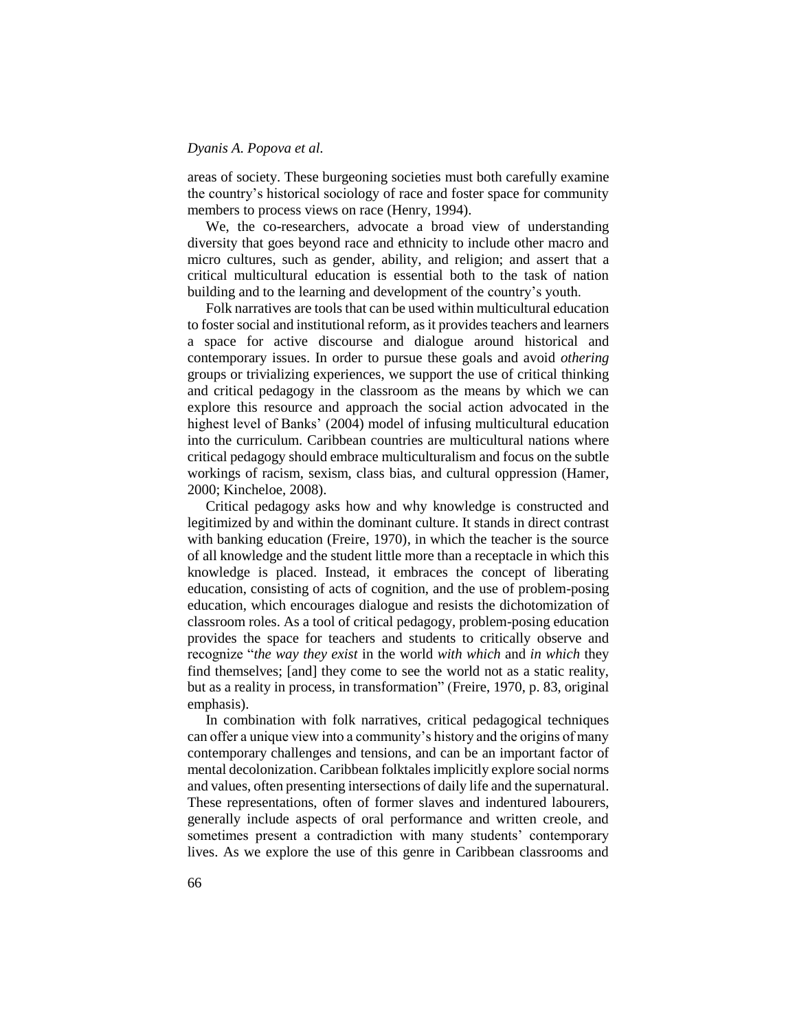areas of society. These burgeoning societies must both carefully examine the country's historical sociology of race and foster space for community members to process views on race (Henry, 1994).

We, the co-researchers, advocate a broad view of understanding diversity that goes beyond race and ethnicity to include other macro and micro cultures, such as gender, ability, and religion; and assert that a critical multicultural education is essential both to the task of nation building and to the learning and development of the country's youth.

Folk narratives are tools that can be used within multicultural education to foster social and institutional reform, as it provides teachers and learners a space for active discourse and dialogue around historical and contemporary issues. In order to pursue these goals and avoid *othering* groups or trivializing experiences, we support the use of critical thinking and critical pedagogy in the classroom as the means by which we can explore this resource and approach the social action advocated in the highest level of Banks' (2004) model of infusing multicultural education into the curriculum. Caribbean countries are multicultural nations where critical pedagogy should embrace multiculturalism and focus on the subtle workings of racism, sexism, class bias, and cultural oppression (Hamer, 2000; Kincheloe, 2008).

Critical pedagogy asks how and why knowledge is constructed and legitimized by and within the dominant culture. It stands in direct contrast with banking education (Freire, 1970), in which the teacher is the source of all knowledge and the student little more than a receptacle in which this knowledge is placed. Instead, it embraces the concept of liberating education, consisting of acts of cognition, and the use of problem-posing education, which encourages dialogue and resists the dichotomization of classroom roles. As a tool of critical pedagogy, problem-posing education provides the space for teachers and students to critically observe and recognize "*the way they exist* in the world *with which* and *in which* they find themselves; [and] they come to see the world not as a static reality, but as a reality in process, in transformation" (Freire, 1970, p. 83, original emphasis).

In combination with folk narratives, critical pedagogical techniques can offer a unique view into a community's history and the origins of many contemporary challenges and tensions, and can be an important factor of mental decolonization. Caribbean folktales implicitly explore social norms and values, often presenting intersections of daily life and the supernatural. These representations, often of former slaves and indentured labourers, generally include aspects of oral performance and written creole, and sometimes present a contradiction with many students' contemporary lives. As we explore the use of this genre in Caribbean classrooms and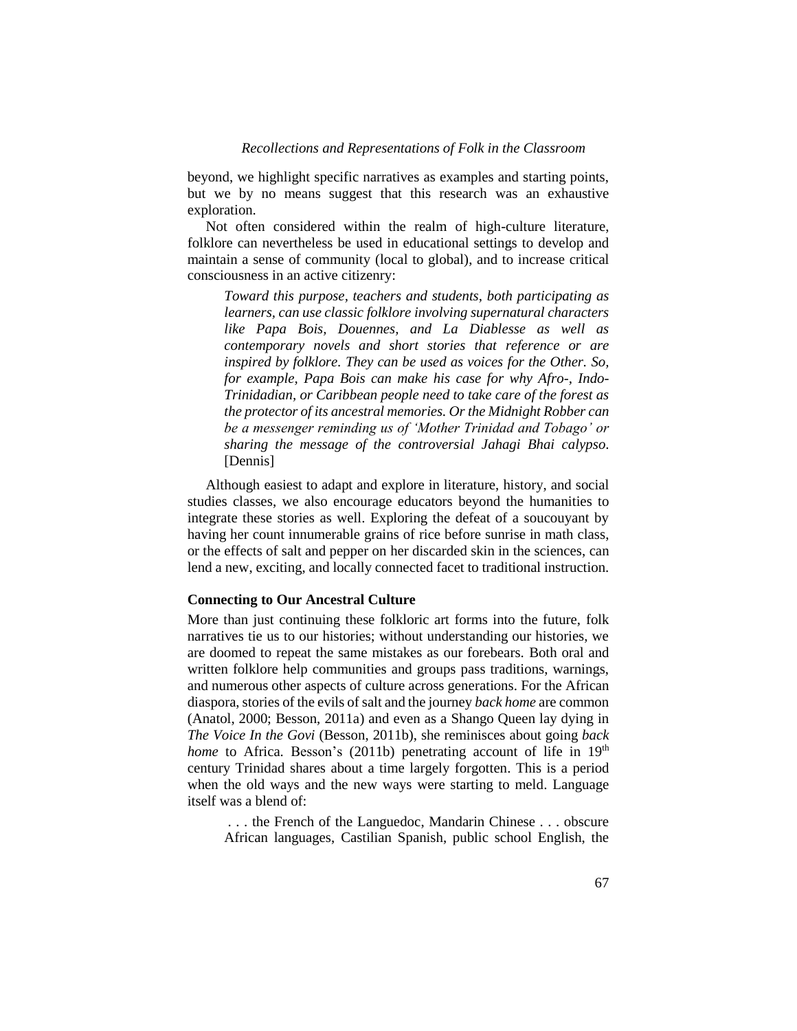beyond, we highlight specific narratives as examples and starting points, but we by no means suggest that this research was an exhaustive exploration.

Not often considered within the realm of high-culture literature, folklore can nevertheless be used in educational settings to develop and maintain a sense of community (local to global), and to increase critical consciousness in an active citizenry:

*Toward this purpose, teachers and students, both participating as learners, can use classic folklore involving supernatural characters like Papa Bois, Douennes, and La Diablesse as well as contemporary novels and short stories that reference or are inspired by folklore. They can be used as voices for the Other. So, for example, Papa Bois can make his case for why Afro-, Indo-Trinidadian, or Caribbean people need to take care of the forest as the protector of its ancestral memories. Or the Midnight Robber can be a messenger reminding us of 'Mother Trinidad and Tobago' or sharing the message of the controversial Jahagi Bhai calypso*. [Dennis]

Although easiest to adapt and explore in literature, history, and social studies classes, we also encourage educators beyond the humanities to integrate these stories as well. Exploring the defeat of a soucouyant by having her count innumerable grains of rice before sunrise in math class, or the effects of salt and pepper on her discarded skin in the sciences, can lend a new, exciting, and locally connected facet to traditional instruction.

# **Connecting to Our Ancestral Culture**

More than just continuing these folkloric art forms into the future, folk narratives tie us to our histories; without understanding our histories, we are doomed to repeat the same mistakes as our forebears. Both oral and written folklore help communities and groups pass traditions, warnings, and numerous other aspects of culture across generations. For the African diaspora, stories of the evils of salt and the journey *back home* are common (Anatol, 2000; Besson, 2011a) and even as a Shango Queen lay dying in *The Voice In the Govi* (Besson, 2011b), she reminisces about going *back home* to Africa. Besson's (2011b) penetrating account of life in 19<sup>th</sup> century Trinidad shares about a time largely forgotten. This is a period when the old ways and the new ways were starting to meld. Language itself was a blend of:

. . . the French of the Languedoc, Mandarin Chinese . . . obscure African languages, Castilian Spanish, public school English, the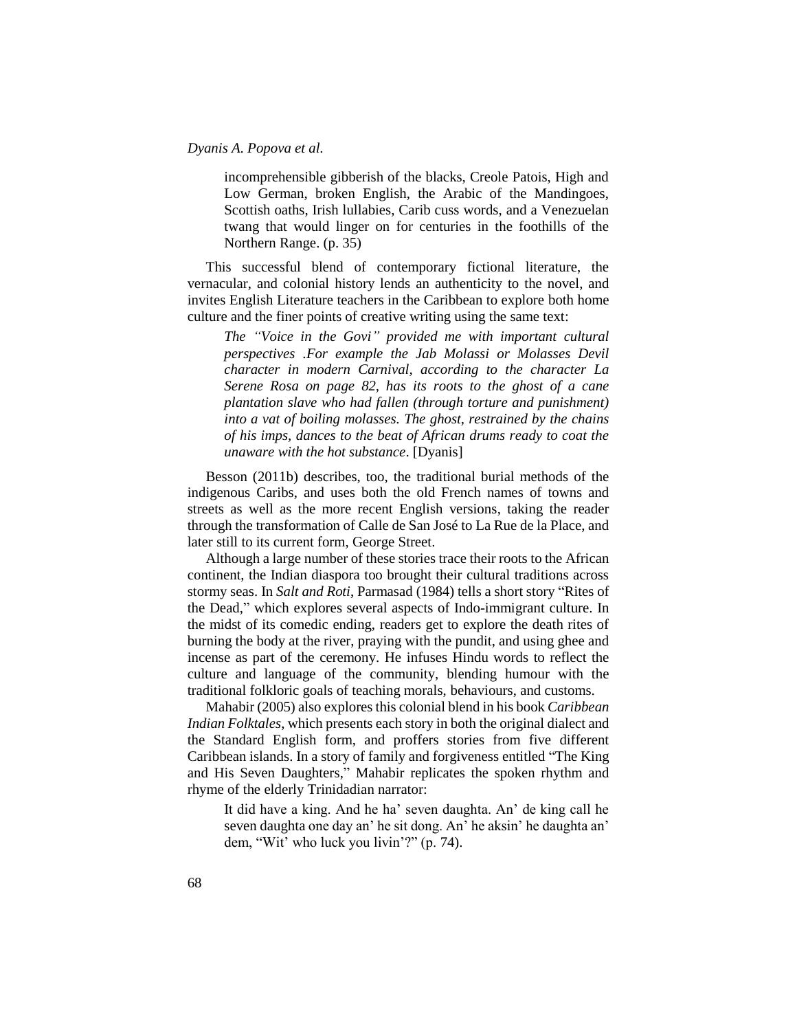incomprehensible gibberish of the blacks, Creole Patois, High and Low German, broken English, the Arabic of the Mandingoes, Scottish oaths, Irish lullabies, Carib cuss words, and a Venezuelan twang that would linger on for centuries in the foothills of the Northern Range. (p. 35)

This successful blend of contemporary fictional literature, the vernacular, and colonial history lends an authenticity to the novel, and invites English Literature teachers in the Caribbean to explore both home culture and the finer points of creative writing using the same text:

*The "Voice in the Govi" provided me with important cultural perspectives .For example the Jab Molassi or Molasses Devil character in modern Carnival, according to the character La Serene Rosa on page 82, has its roots to the ghost of a cane plantation slave who had fallen (through torture and punishment) into a vat of boiling molasses. The ghost, restrained by the chains of his imps, dances to the beat of African drums ready to coat the unaware with the hot substance*. [Dyanis]

Besson (2011b) describes, too, the traditional burial methods of the indigenous Caribs, and uses both the old French names of towns and streets as well as the more recent English versions, taking the reader through the transformation of Calle de San José to La Rue de la Place, and later still to its current form, George Street.

Although a large number of these stories trace their roots to the African continent, the Indian diaspora too brought their cultural traditions across stormy seas. In *Salt and Roti*, Parmasad (1984) tells a short story "Rites of the Dead," which explores several aspects of Indo-immigrant culture. In the midst of its comedic ending, readers get to explore the death rites of burning the body at the river, praying with the pundit, and using ghee and incense as part of the ceremony. He infuses Hindu words to reflect the culture and language of the community, blending humour with the traditional folkloric goals of teaching morals, behaviours, and customs.

Mahabir (2005) also explores this colonial blend in his book *Caribbean Indian Folktales*, which presents each story in both the original dialect and the Standard English form, and proffers stories from five different Caribbean islands. In a story of family and forgiveness entitled "The King and His Seven Daughters," Mahabir replicates the spoken rhythm and rhyme of the elderly Trinidadian narrator:

It did have a king. And he ha' seven daughta. An' de king call he seven daughta one day an' he sit dong. An' he aksin' he daughta an' dem, "Wit' who luck you livin'?" (p. 74).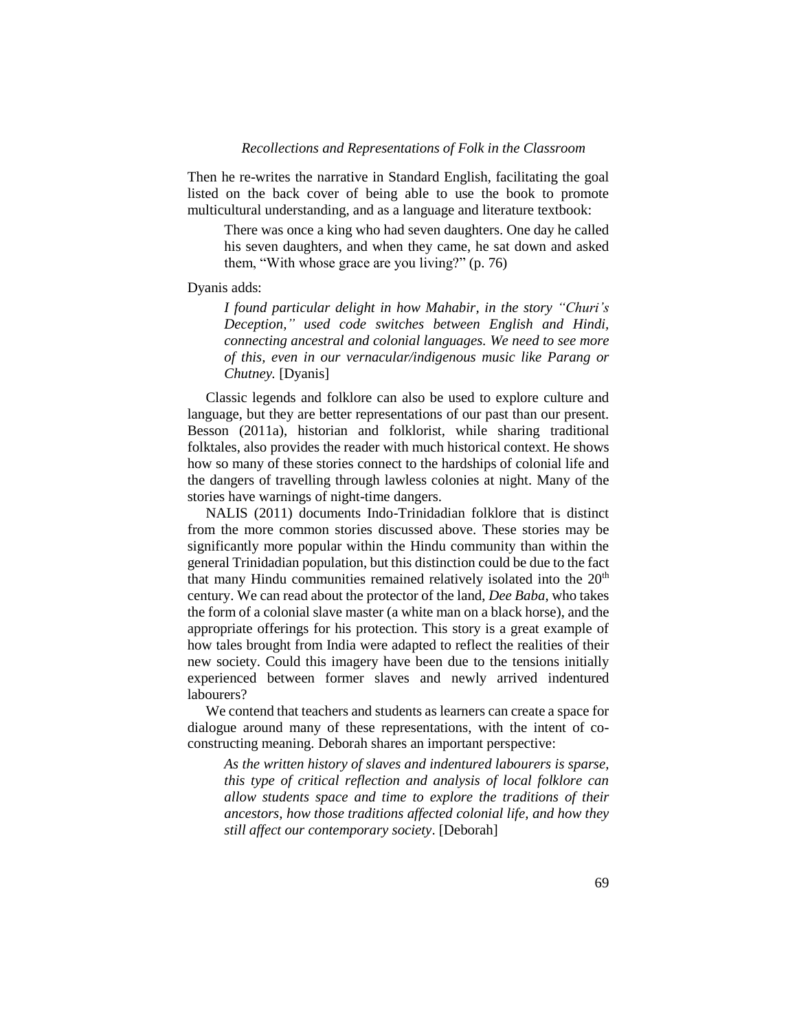Then he re-writes the narrative in Standard English, facilitating the goal listed on the back cover of being able to use the book to promote multicultural understanding, and as a language and literature textbook:

There was once a king who had seven daughters. One day he called his seven daughters, and when they came, he sat down and asked them, "With whose grace are you living?" (p. 76)

# Dyanis adds:

*I found particular delight in how Mahabir, in the story "Churi's Deception," used code switches between English and Hindi, connecting ancestral and colonial languages. We need to see more of this, even in our vernacular/indigenous music like Parang or Chutney.* [Dyanis]

Classic legends and folklore can also be used to explore culture and language, but they are better representations of our past than our present. Besson (2011a), historian and folklorist, while sharing traditional folktales, also provides the reader with much historical context. He shows how so many of these stories connect to the hardships of colonial life and the dangers of travelling through lawless colonies at night. Many of the stories have warnings of night-time dangers.

NALIS (2011) documents Indo-Trinidadian folklore that is distinct from the more common stories discussed above. These stories may be significantly more popular within the Hindu community than within the general Trinidadian population, but this distinction could be due to the fact that many Hindu communities remained relatively isolated into the  $20<sup>th</sup>$ century. We can read about the protector of the land, *Dee Baba*, who takes the form of a colonial slave master (a white man on a black horse), and the appropriate offerings for his protection. This story is a great example of how tales brought from India were adapted to reflect the realities of their new society. Could this imagery have been due to the tensions initially experienced between former slaves and newly arrived indentured labourers?

We contend that teachers and students as learners can create a space for dialogue around many of these representations, with the intent of coconstructing meaning. Deborah shares an important perspective:

*As the written history of slaves and indentured labourers is sparse, this type of critical reflection and analysis of local folklore can allow students space and time to explore the traditions of their ancestors, how those traditions affected colonial life, and how they still affect our contemporary society*. [Deborah]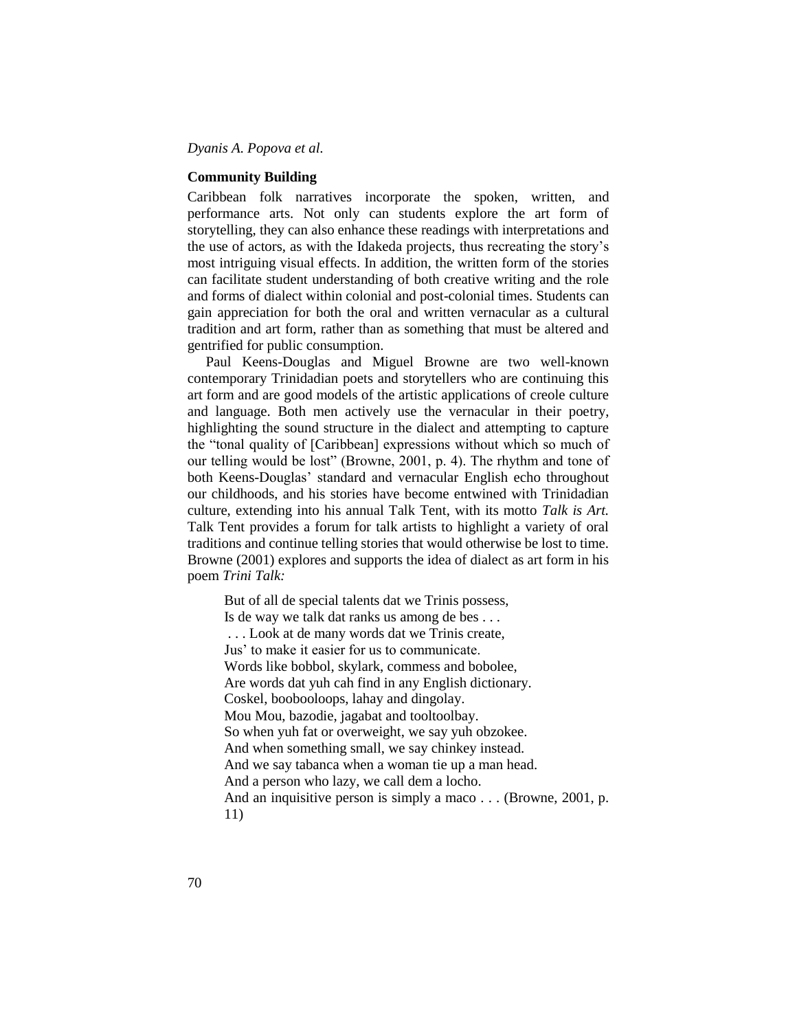# **Community Building**

Caribbean folk narratives incorporate the spoken, written, and performance arts. Not only can students explore the art form of storytelling, they can also enhance these readings with interpretations and the use of actors, as with the Idakeda projects, thus recreating the story's most intriguing visual effects. In addition, the written form of the stories can facilitate student understanding of both creative writing and the role and forms of dialect within colonial and post-colonial times. Students can gain appreciation for both the oral and written vernacular as a cultural tradition and art form, rather than as something that must be altered and gentrified for public consumption.

Paul Keens-Douglas and Miguel Browne are two well-known contemporary Trinidadian poets and storytellers who are continuing this art form and are good models of the artistic applications of creole culture and language. Both men actively use the vernacular in their poetry, highlighting the sound structure in the dialect and attempting to capture the "tonal quality of [Caribbean] expressions without which so much of our telling would be lost" (Browne, 2001, p. 4). The rhythm and tone of both Keens-Douglas' standard and vernacular English echo throughout our childhoods, and his stories have become entwined with Trinidadian culture, extending into his annual Talk Tent, with its motto *Talk is Art.*  Talk Tent provides a forum for talk artists to highlight a variety of oral traditions and continue telling stories that would otherwise be lost to time. Browne (2001) explores and supports the idea of dialect as art form in his poem *Trini Talk:*

But of all de special talents dat we Trinis possess, Is de way we talk dat ranks us among de bes . . . . . . Look at de many words dat we Trinis create, Jus' to make it easier for us to communicate. Words like bobbol, skylark, commess and bobolee, Are words dat yuh cah find in any English dictionary. Coskel, boobooloops, lahay and dingolay. Mou Mou, bazodie, jagabat and tooltoolbay. So when yuh fat or overweight, we say yuh obzokee. And when something small, we say chinkey instead. And we say tabanca when a woman tie up a man head. And a person who lazy, we call dem a locho. And an inquisitive person is simply a maco . . . (Browne, 2001, p. 11)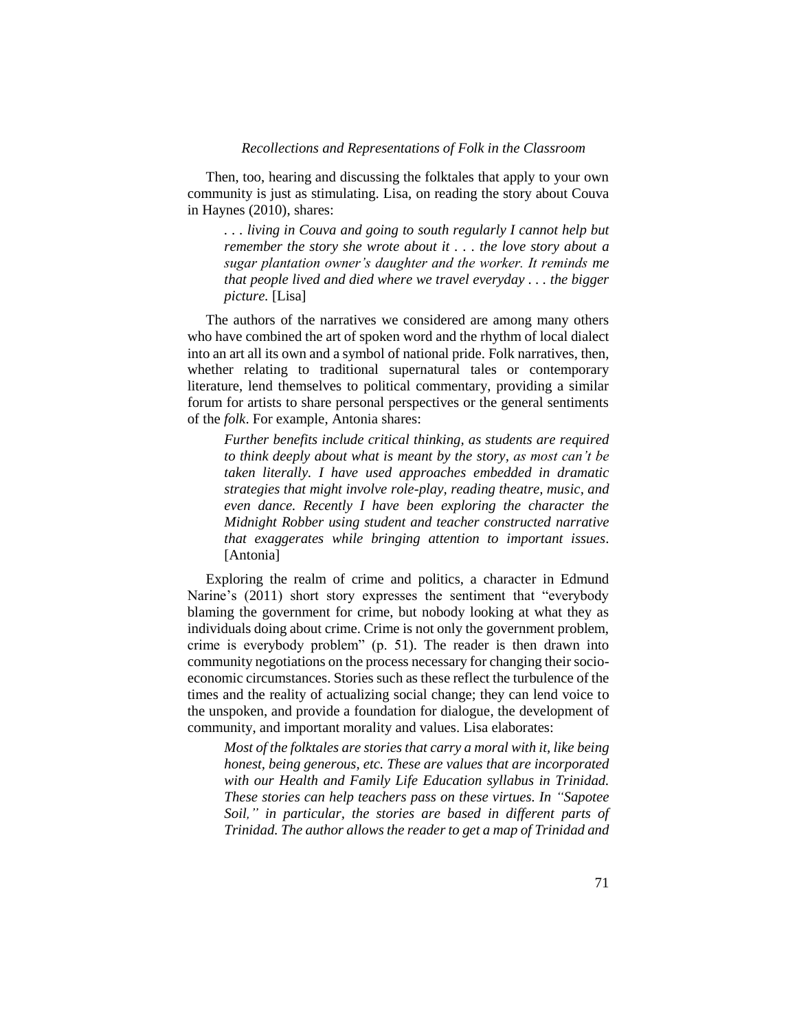Then, too, hearing and discussing the folktales that apply to your own community is just as stimulating. Lisa, on reading the story about Couva in Haynes (2010), shares:

*. . . living in Couva and going to south regularly I cannot help but remember the story she wrote about it . . . the love story about a sugar plantation owner's daughter and the worker. It reminds me that people lived and died where we travel everyday . . . the bigger picture.* [Lisa]

The authors of the narratives we considered are among many others who have combined the art of spoken word and the rhythm of local dialect into an art all its own and a symbol of national pride. Folk narratives, then, whether relating to traditional supernatural tales or contemporary literature, lend themselves to political commentary, providing a similar forum for artists to share personal perspectives or the general sentiments of the *folk*. For example, Antonia shares:

*Further benefits include critical thinking, as students are required to think deeply about what is meant by the story, as most can't be taken literally. I have used approaches embedded in dramatic strategies that might involve role-play, reading theatre, music, and even dance. Recently I have been exploring the character the Midnight Robber using student and teacher constructed narrative that exaggerates while bringing attention to important issues*. [Antonia]

Exploring the realm of crime and politics, a character in Edmund Narine's (2011) short story expresses the sentiment that "everybody blaming the government for crime, but nobody looking at what they as individuals doing about crime. Crime is not only the government problem, crime is everybody problem" (p. 51). The reader is then drawn into community negotiations on the process necessary for changing their socioeconomic circumstances. Stories such as these reflect the turbulence of the times and the reality of actualizing social change; they can lend voice to the unspoken, and provide a foundation for dialogue, the development of community, and important morality and values. Lisa elaborates:

*Most of the folktales are stories that carry a moral with it, like being honest, being generous, etc. These are values that are incorporated with our Health and Family Life Education syllabus in Trinidad. These stories can help teachers pass on these virtues. In "Sapotee Soil," in particular, the stories are based in different parts of Trinidad. The author allows the reader to get a map of Trinidad and*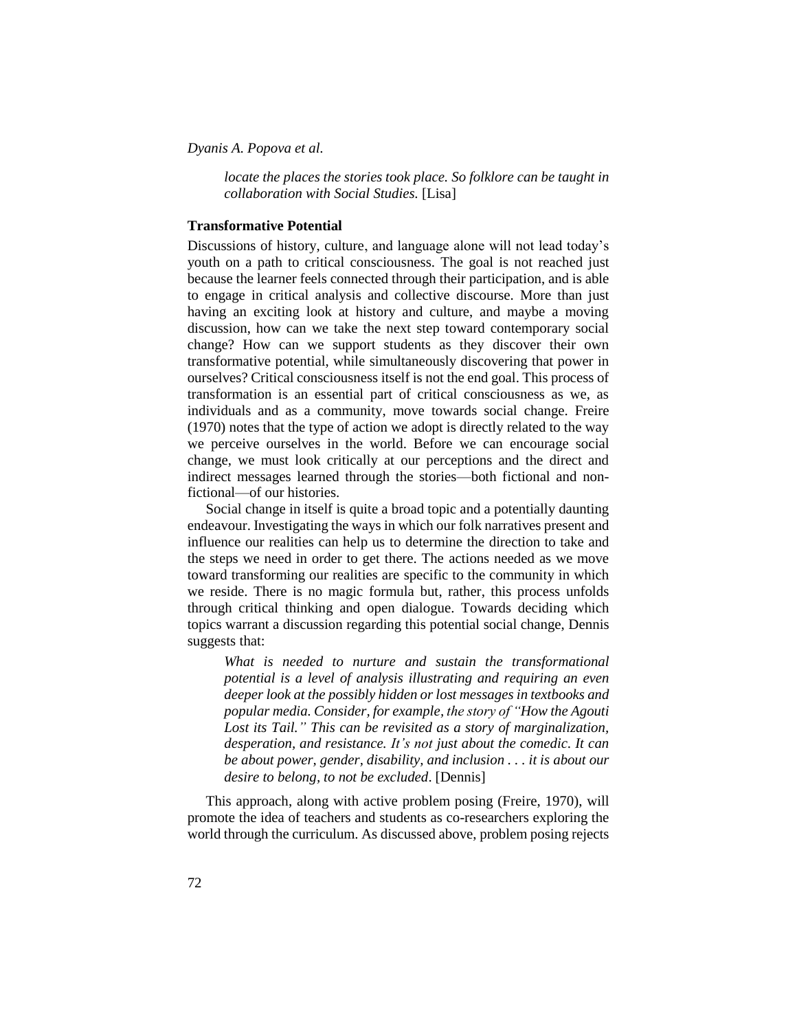*locate the places the stories took place. So folklore can be taught in collaboration with Social Studies.* [Lisa]

# **Transformative Potential**

Discussions of history, culture, and language alone will not lead today's youth on a path to critical consciousness. The goal is not reached just because the learner feels connected through their participation, and is able to engage in critical analysis and collective discourse. More than just having an exciting look at history and culture, and maybe a moving discussion, how can we take the next step toward contemporary social change? How can we support students as they discover their own transformative potential, while simultaneously discovering that power in ourselves? Critical consciousness itself is not the end goal. This process of transformation is an essential part of critical consciousness as we, as individuals and as a community, move towards social change. Freire (1970) notes that the type of action we adopt is directly related to the way we perceive ourselves in the world. Before we can encourage social change, we must look critically at our perceptions and the direct and indirect messages learned through the stories—both fictional and nonfictional—of our histories.

Social change in itself is quite a broad topic and a potentially daunting endeavour. Investigating the ways in which our folk narratives present and influence our realities can help us to determine the direction to take and the steps we need in order to get there. The actions needed as we move toward transforming our realities are specific to the community in which we reside. There is no magic formula but, rather, this process unfolds through critical thinking and open dialogue. Towards deciding which topics warrant a discussion regarding this potential social change, Dennis suggests that:

*What is needed to nurture and sustain the transformational potential is a level of analysis illustrating and requiring an even deeper look at the possibly hidden or lost messages in textbooks and popular media. Consider, for example, the story of "How the Agouti Lost its Tail." This can be revisited as a story of marginalization, desperation, and resistance. It's not just about the comedic. It can be about power, gender, disability, and inclusion . . . it is about our desire to belong, to not be excluded*. [Dennis]

This approach, along with active problem posing (Freire, 1970), will promote the idea of teachers and students as co-researchers exploring the world through the curriculum. As discussed above, problem posing rejects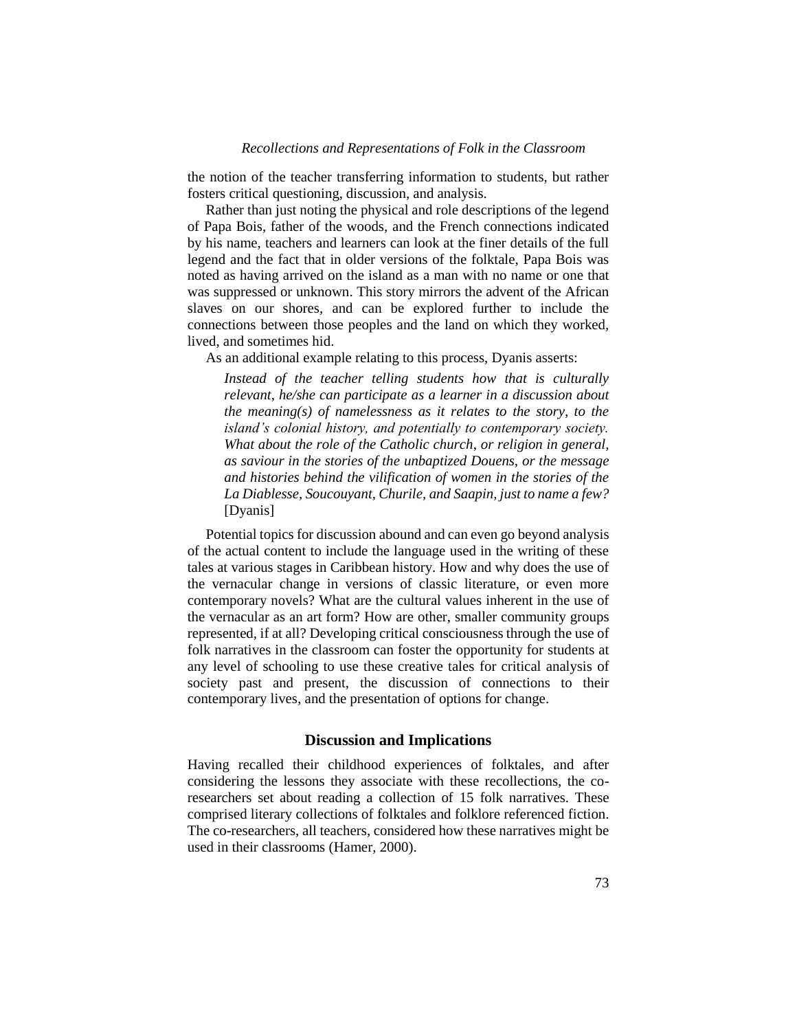the notion of the teacher transferring information to students, but rather fosters critical questioning, discussion, and analysis.

Rather than just noting the physical and role descriptions of the legend of Papa Bois, father of the woods, and the French connections indicated by his name, teachers and learners can look at the finer details of the full legend and the fact that in older versions of the folktale, Papa Bois was noted as having arrived on the island as a man with no name or one that was suppressed or unknown. This story mirrors the advent of the African slaves on our shores, and can be explored further to include the connections between those peoples and the land on which they worked, lived, and sometimes hid.

As an additional example relating to this process, Dyanis asserts:

*Instead of the teacher telling students how that is culturally relevant, he/she can participate as a learner in a discussion about the meaning(s) of namelessness as it relates to the story, to the island's colonial history, and potentially to contemporary society. What about the role of the Catholic church, or religion in general, as saviour in the stories of the unbaptized Douens, or the message and histories behind the vilification of women in the stories of the La Diablesse, Soucouyant, Churile, and Saapin, just to name a few?* [Dyanis]

Potential topics for discussion abound and can even go beyond analysis of the actual content to include the language used in the writing of these tales at various stages in Caribbean history. How and why does the use of the vernacular change in versions of classic literature, or even more contemporary novels? What are the cultural values inherent in the use of the vernacular as an art form? How are other, smaller community groups represented, if at all? Developing critical consciousness through the use of folk narratives in the classroom can foster the opportunity for students at any level of schooling to use these creative tales for critical analysis of society past and present, the discussion of connections to their contemporary lives, and the presentation of options for change.

# **Discussion and Implications**

Having recalled their childhood experiences of folktales, and after considering the lessons they associate with these recollections, the coresearchers set about reading a collection of 15 folk narratives. These comprised literary collections of folktales and folklore referenced fiction. The co-researchers, all teachers, considered how these narratives might be used in their classrooms (Hamer, 2000).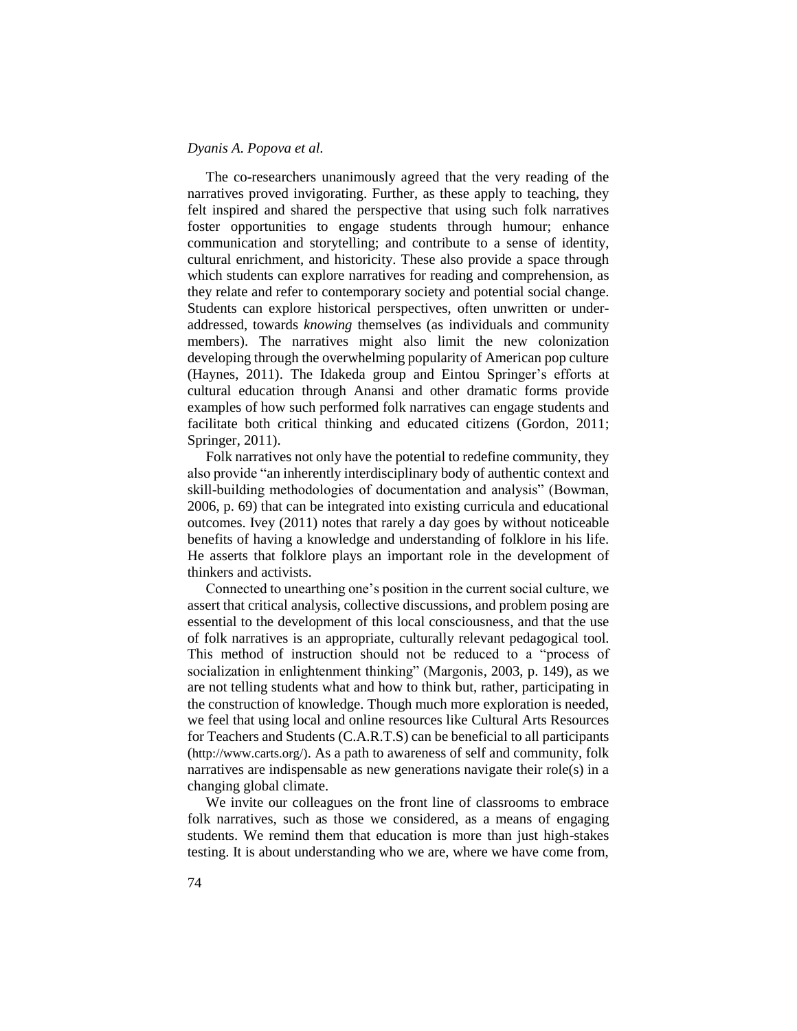The co-researchers unanimously agreed that the very reading of the narratives proved invigorating. Further, as these apply to teaching, they felt inspired and shared the perspective that using such folk narratives foster opportunities to engage students through humour; enhance communication and storytelling; and contribute to a sense of identity, cultural enrichment, and historicity. These also provide a space through which students can explore narratives for reading and comprehension, as they relate and refer to contemporary society and potential social change. Students can explore historical perspectives, often unwritten or underaddressed, towards *knowing* themselves (as individuals and community members). The narratives might also limit the new colonization developing through the overwhelming popularity of American pop culture (Haynes, 2011). The Idakeda group and Eintou Springer's efforts at cultural education through Anansi and other dramatic forms provide examples of how such performed folk narratives can engage students and facilitate both critical thinking and educated citizens (Gordon, 2011; Springer, 2011).

Folk narratives not only have the potential to redefine community, they also provide "an inherently interdisciplinary body of authentic context and skill-building methodologies of documentation and analysis" (Bowman, 2006, p. 69) that can be integrated into existing curricula and educational outcomes. Ivey (2011) notes that rarely a day goes by without noticeable benefits of having a knowledge and understanding of folklore in his life. He asserts that folklore plays an important role in the development of thinkers and activists.

Connected to unearthing one's position in the current social culture, we assert that critical analysis, collective discussions, and problem posing are essential to the development of this local consciousness, and that the use of folk narratives is an appropriate, culturally relevant pedagogical tool. This method of instruction should not be reduced to a "process of socialization in enlightenment thinking" (Margonis, 2003, p. 149), as we are not telling students what and how to think but, rather, participating in the construction of knowledge. Though much more exploration is needed, we feel that using local and online resources like Cultural Arts Resources for Teachers and Students (C.A.R.T.S) can be beneficial to all participants (http://www.carts.org/). As a path to awareness of self and community, folk narratives are indispensable as new generations navigate their role(s) in a changing global climate.

We invite our colleagues on the front line of classrooms to embrace folk narratives, such as those we considered, as a means of engaging students. We remind them that education is more than just high-stakes testing. It is about understanding who we are, where we have come from,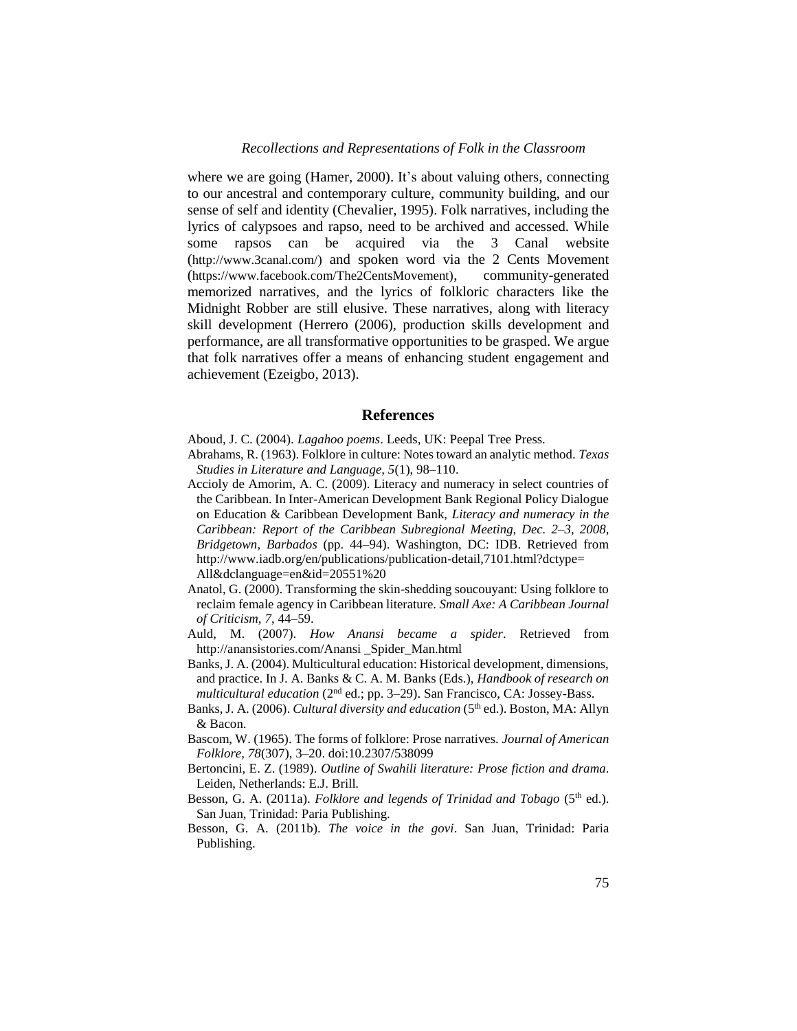where we are going (Hamer, 2000). It's about valuing others, connecting to our ancestral and contemporary culture, community building, and our sense of self and identity (Chevalier, 1995). Folk narratives, including the lyrics of calypsoes and rapso, need to be archived and accessed. While some rapsos can be acquired via the 3 Canal website (http://www.3canal.com/) and spoken word via the 2 Cents Movement (https://www.facebook.com/The2CentsMovement), community-generated memorized narratives, and the lyrics of folkloric characters like the Midnight Robber are still elusive. These narratives, along with literacy skill development (Herrero (2006), production skills development and performance, are all transformative opportunities to be grasped. We argue that folk narratives offer a means of enhancing student engagement and achievement (Ezeigbo, 2013).

#### **References**

- Aboud, J. C. (2004). *Lagahoo poems*. Leeds, UK: Peepal Tree Press.
- Abrahams, R. (1963). Folklore in culture: Notes toward an analytic method. *Texas Studies in Literature and Language, 5*(1), 98–110.
- Accioly de Amorim, A. C. (2009). Literacy and numeracy in select countries of the Caribbean. In Inter-American Development Bank Regional Policy Dialogue on Education & Caribbean Development Bank, *Literacy and numeracy in the Caribbean: Report of the Caribbean Subregional Meeting, Dec. 2–3, 2008, Bridgetown, Barbados* (pp. 44–94). Washington, DC: IDB. Retrieved from http://www.iadb.org/en/publications/publication-detail,7101.html?dctype= All&dclanguage=en&id=20551%20
- Anatol, G. (2000). Transforming the skin-shedding soucouyant: Using folklore to reclaim female agency in Caribbean literature. *Small Axe: A Caribbean Journal of Criticism*, *7*, 44–59.
- Auld, M. (2007). *How Anansi became a spider*. Retrieved from http://anansistories.com/Anansi \_Spider\_Man.html
- Banks, J. A. (2004). Multicultural education: Historical development, dimensions, and practice. In J. A. Banks & C. A. M. Banks (Eds.), *Handbook of research on multicultural education* (2nd ed.; pp. 3–29). San Francisco, CA: Jossey-Bass.
- Banks, J. A. (2006). *Cultural diversity and education* (5<sup>th</sup> ed.). Boston, MA: Allyn & Bacon.
- Bascom, W. (1965). The forms of folklore: Prose narratives. *Journal of American Folklore, 78*(307), 3–20. doi:10.2307/538099
- Bertoncini, E. Z. (1989). *Outline of Swahili literature: Prose fiction and drama*. Leiden, Netherlands: E.J. Brill.
- Besson, G. A. (2011a). *Folklore and legends of Trinidad and Tobago* (5<sup>th</sup> ed.). San Juan, Trinidad: Paria Publishing.
- Besson, G. A. (2011b). *The voice in the govi*. San Juan, Trinidad: Paria Publishing.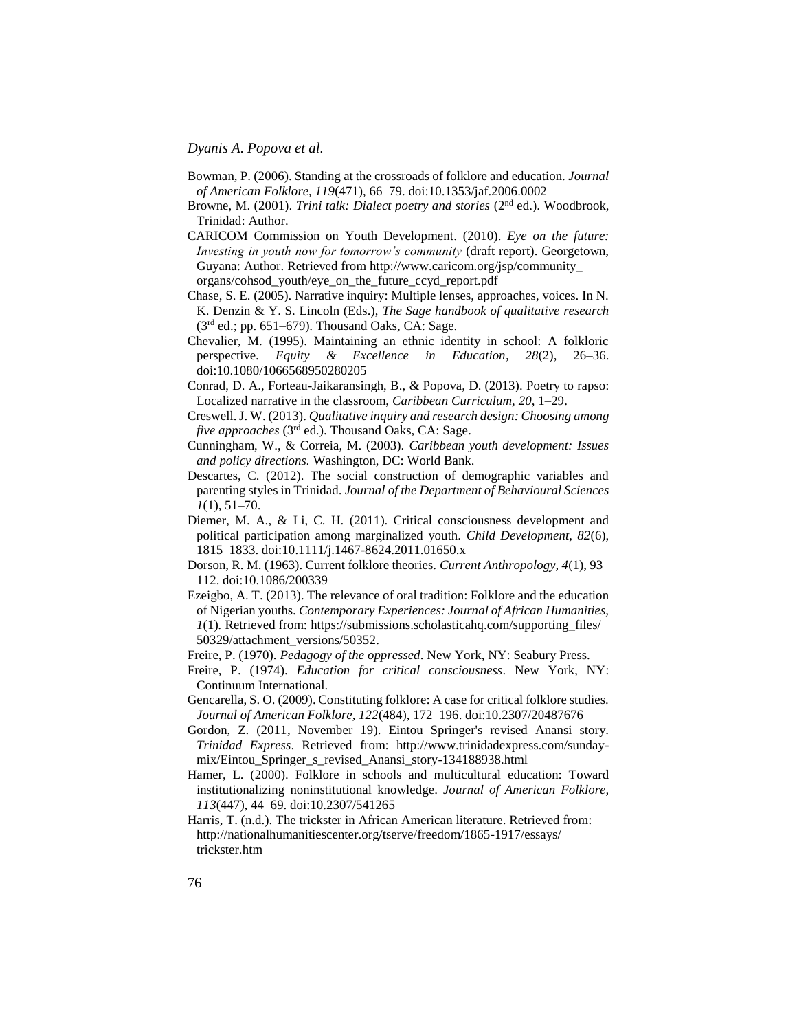- Bowman, P. (2006). Standing at the crossroads of folklore and education. *Journal of American Folklore, 119*(471), 66–79. doi:10.1353/jaf.2006.0002
- Browne, M. (2001). *Trini talk: Dialect poetry and stories* (2nd ed.). Woodbrook, Trinidad: Author.
- CARICOM Commission on Youth Development. (2010). *Eye on the future: Investing in youth now for tomorrow's community* (draft report). Georgetown, Guyana: Author. Retrieved from http://www.caricom.org/jsp/community\_ organs/cohsod\_youth/eye\_on\_the\_future\_ccyd\_report.pdf
- Chase, S. E. (2005). Narrative inquiry: Multiple lenses, approaches, voices. In N. K. Denzin & Y. S. Lincoln (Eds.), *The Sage handbook of qualitative research*  (3rd ed.; pp. 651–679)*.* Thousand Oaks, CA: Sage.
- Chevalier, M. (1995). Maintaining an ethnic identity in school: A folkloric perspective. *[Equity & Excellence in Education,](javascript:__doLinkPostBack() 28*(2), 26–36. doi:10.1080/1066568950280205
- Conrad, D. A., Forteau-Jaikaransingh, B., & Popova, D. (2013). Poetry to rapso: Localized narrative in the classroom, *Caribbean Curriculum, 20,* 1–29.
- Creswell. J. W. (2013). *Qualitative inquiry and research design: Choosing among*  five approaches (3<sup>rd</sup> ed.). Thousand Oaks, CA: Sage.
- Cunningham, W., & Correia, M. (2003). *Caribbean youth development: Issues and policy directions.* Washington, DC: World Bank.
- Descartes, C. (2012). The social construction of demographic variables and parenting styles in Trinidad. *Journal of the Department of Behavioural Sciences 1*(1), 51–70.
- Diemer, M. A., & Li, C. H. (2011). Critical consciousness development and political participation among marginalized youth. *Child Development, 82*(6), 1815–1833. doi:10.1111/j.1467-8624.2011.01650.x
- Dorson, R. M. (1963). Current folklore theories. *Current Anthropology, 4*(1), 93– 112. doi:10.1086/200339
- Ezeigbo, A. T. (2013). The relevance of oral tradition: Folklore and the education of Nigerian youths. *Contemporary Experiences: Journal of African Humanities, 1*(1)*.* Retrieved from: https://submissions.scholasticahq.com/supporting\_files/ 50329/attachment\_versions/50352.
- Freire, P. (1970). *Pedagogy of the oppressed*. New York, NY: Seabury Press.
- Freire, P. (1974). *Education for critical consciousness*. New York, NY: Continuum International.
- Gencarella, S. O. (2009). Constituting folklore: A case for critical folklore studies. *Journal of American Folklore, 122*(484), 172–196. doi:10.2307/20487676
- Gordon, Z. (2011, November 19). Eintou Springer's revised Anansi story. *Trinidad Express*. Retrieved from: http://www.trinidadexpress.com/sundaymix/Eintou\_Springer\_s\_revised\_Anansi\_story-134188938.html
- Hamer, L. (2000). Folklore in schools and multicultural education: Toward institutionalizing noninstitutional knowledge. *Journal of American Folklore, 113*(447), 44–69. doi:10.2307/541265
- Harris, T. (n.d.). The trickster in African American literature. Retrieved from: http://nationalhumanitiescenter.org/tserve/freedom/1865-1917/essays/ trickster.htm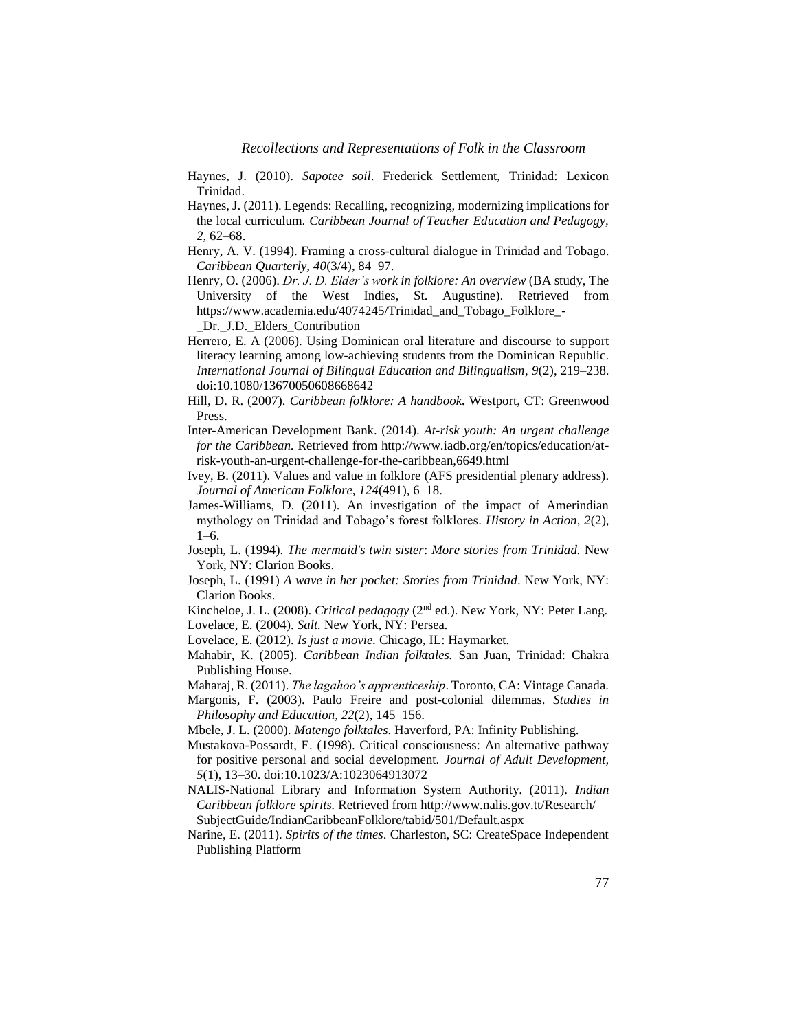- Haynes, J. (2010). *Sapotee soil*. Frederick Settlement, Trinidad: Lexicon Trinidad.
- Haynes, J. (2011). Legends: Recalling, recognizing, modernizing implications for the local curriculum. *Caribbean Journal of Teacher Education and Pedagogy, 2*, 62–68.
- Henry, A. V. (1994). Framing a cross-cultural dialogue in Trinidad and Tobago. *Caribbean Quarterly, 40*(3/4), 84–97.
- Henry, O. (2006). *Dr. J. D. Elder's work in folklore: An overview* (BA study, The University of the West Indies, St. Augustine)*.* Retrieved from https://www.academia.edu/4074245/Trinidad\_and\_Tobago\_Folklore\_- Dr. J.D. Elders Contribution
- Herrero, E. A (2006). Using Dominican oral literature and discourse to support literacy learning among low-achieving students from the Dominican Republic. *International Journal of Bilingual Education and Bilingualism, 9*(2), 219–238. doi:10.1080/13670050608668642
- Hill, D. R. (2007). *Caribbean folklore: A handbook***.** Westport, CT: Greenwood Press.
- Inter-American Development Bank. (2014). *At-risk youth: An urgent challenge for the Caribbean.* Retrieved from http://www.iadb.org/en/topics/education/atrisk-youth-an-urgent-challenge-for-the-caribbean,6649.html
- Ivey, B. (2011). Values and value in folklore (AFS presidential plenary address). *Journal of American Folklore, 124*(491), 6–18.
- James-Williams, D. (2011). An investigation of the impact of Amerindian mythology on Trinidad and Tobago's forest folklores. *History in Action, 2*(2), 1–6.
- Joseph, L. (1994). *The mermaid's twin sister*: *More stories from Trinidad.* New York, NY: Clarion Books.
- Joseph, L. (1991) *A wave in her pocket: Stories from Trinidad*. New York, NY: Clarion Books.
- Kincheloe, J. L. (2008). *Critical pedagogy* (2nd ed.). New York, NY: Peter Lang.
- Lovelace, E. (2004). *Salt.* New York, NY: Persea*.*
- Lovelace, E. (2012). *Is just a movie.* Chicago, IL: Haymarket.
- Mahabir, K. (2005). *Caribbean Indian folktales.* San Juan, Trinidad: Chakra Publishing House.
- Maharaj, R. (2011). *The lagahoo's apprenticeship*. Toronto, CA: Vintage Canada.
- Margonis, F. (2003). Paulo Freire and post-colonial dilemmas. *Studies in Philosophy and Education, 22*(2), 145–156.
- Mbele, J. L. (2000). *Matengo folktales*. Haverford, PA: Infinity Publishing.
- Mustakova-Possardt, E. (1998). Critical consciousness: An alternative pathway for positive personal and social development. *Journal of Adult Development, 5*(1), 13–30. doi:10.1023/A:1023064913072
- NALIS-National Library and Information System Authority. (2011). *Indian Caribbean folklore spirits.* Retrieved from http://www.nalis.gov.tt/Research/ SubjectGuide/IndianCaribbeanFolklore/tabid/501/Default.aspx
- Narine, E. (2011). *Spirits of the times*. Charleston, SC: CreateSpace Independent Publishing Platform